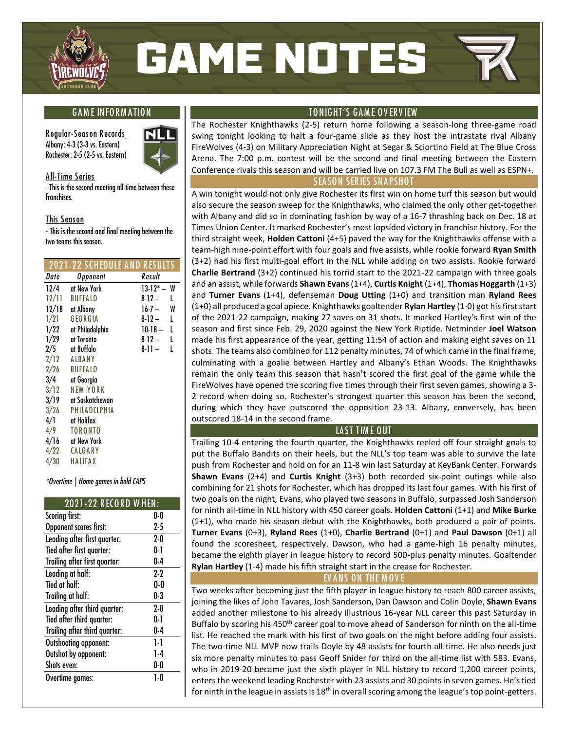

# **GAME NOTES**

#### **G A M E IN FO R M A TION**

**R egular-Seas on R ecords Albany: 4-3 (3-3 vs. Eastern) Rochester: 2-5 (2-5 vs. Eastern)**



**A ll-Time Series**

**- This is the second meeting all-time between these franchises.**

#### **This Season**

**- This is the second and final meeting between the two teams this season.**

#### **2021-22 SCHEDULE A ND R ESULTS**

| Date  | Opponent        | Result             |
|-------|-----------------|--------------------|
| 12/4  | at New York     | W<br>$13-12^{*} -$ |
| 12/11 | <b>BUFFALO</b>  | $8 - 12 -$<br>L    |
| 12/18 | at Albany       | 16-7 —<br>W        |
| 1/21  | GEORGIA         | 8-12 —<br>L        |
| 1/22  | at Philadelphia | $10-18-$<br>L      |
| 1/29  | at Toronto      | L<br>8-12 —        |
|       | 2/5 at Buffalo  | 8-11 –<br>L        |
| 2/12  | ALBANY          |                    |
| 2/26  | BUFFALO         |                    |
| 3/4   | at Georgia      |                    |
| 3/12  | <b>NEW YORK</b> |                    |
| 3/19  | at Saskatchewan |                    |
| 3/26  | PHILADELPHIA    |                    |
| 4/1   | at Halifax      |                    |
| 4/9   | <b>TORONTO</b>  |                    |
| 4/16  | at New York     |                    |
| 4/22  | CALGARY         |                    |
| 4/30  | HALIFAX         |                    |
|       |                 |                    |

*\*Overtime | Home games in bold CAPS*

#### **2021-22 R ECO R D W HEN :**

| Scoring first:                | 0-0   |
|-------------------------------|-------|
| Opponent scores first:        | 25    |
| Leading after first quarter:  | $2-0$ |
| Tied after first quarter:     | 0-1   |
| Trailing after first quarter: | $0-4$ |
| Leading at half:              | 2.2   |
| Tied at half:                 | 0.0   |
| Trailing at half:             | 0.3   |
| Leading after third quarter:  | $2-0$ |
| Tied after third quarter:     | 0-1   |
| Trailing after third quarter: | $0-4$ |
| Outshooting opponent:         | 1-1   |
| Outshot by opponent:          | 1-4   |
| Shots even:                   | 0-0   |
| Overtime games:               | 1-0   |

#### **TON IG HT'S GA M E O V ER V IEW**

The Rochester Knighthawks (2-5) return home following a season-long three-game road swing tonight looking to halt a four-game slide as they host the intrastate rival Albany FireWolves (4-3) on Military Appreciation Night at Segar & Sciortino Field at The Blue Cross Arena. The 7:00 p.m. contest will be the second and final meeting between the Eastern Conference rivals this season and will be carried live on 107.3 FM The Bull as well as ESPN+.

#### **SEASON SERIES SNAPSHOT**

A win tonight would not only give Rochester its first win on home turf this season but would also secure the season sweep for the Knighthawks, who claimed the only other get-together with Albany and did so in dominating fashion by way of a 16-7 thrashing back on Dec. 18 at Times Union Center. It marked Rochester's most lopsided victory in franchise history. For the third straight week, **Holden Cattoni** (4+5) paved the way for the Knighthawks offense with a team-high nine-point effort with four goals and five assists, while rookie forward **Ryan Smith** (3+2) had his first multi-goal effort in the NLL while adding on two assists. Rookie forward **Charlie Bertrand** (3+2) continued his torrid start to the 2021-22 campaign with three goals and an assist, while forwards **Shawn Evans**(1+4), **Curtis Knight** (1+4), **Thomas Hoggarth** (1+3) and **Turner Evans** (1+4), defenseman **Doug Utting** (1+0) and transition man **Ryland Rees**  (1+0) all produced a goal apiece. Knighthawks goaltender **Rylan Hartley** (1-0) got his first start of the 2021-22 campaign, making 27 saves on 31 shots. It marked Hartley's first win of the season and first since Feb. 29, 2020 against the New York Riptide. Netminder **Joel Watson**  made his first appearance of the year, getting 11:54 of action and making eight saves on 11 shots. The teams also combined for 112 penalty minutes, 74 of which came in the final frame, culminating with a goalie between Hartley and Albany's Ethan Woods. The Knighthawks remain the only team this season that hasn't scored the first goal of the game while the FireWolves have opened the scoring five times through their first seven games, showing a 3- 2 record when doing so. Rochester's strongest quarter this season has been the second, during which they have outscored the opposition 23-13. Albany, conversely, has been outscored 18-14 in the second frame.

#### **LA ST TIM E OUT**

Trailing 10-4 entering the fourth quarter, the Knighthawks reeled off four straight goals to put the Buffalo Bandits on their heels, but the NLL's top team was able to survive the late push from Rochester and hold on for an 11-8 win last Saturday at KeyBank Center. Forwards **Shawn Evans** (2+4) and **Curtis Knight** (3+3) both recorded six-point outings while also combining for 21 shots for Rochester, which has dropped its last four games. With his first of two goals on the night, Evans, who played two seasons in Buffalo, surpassed Josh Sanderson for ninth all-time in NLL history with 450 career goals. **Holden Cattoni** (1+1) and **Mike Burke** (1+1), who made his season debut with the Knighthawks, both produced a pair of points. **Turner Evans** (0+3), **Ryland Rees** (1+0), **Charlie Bertrand** (0+1) and **Paul Dawson** (0+1) all found the scoresheet, respectively. Dawson, who had a game-high 16 penalty minutes, became the eighth player in league history to record 500-plus penalty minutes. Goaltender **Rylan Hartley** (1-4) made his fifth straight start in the crease for Rochester.

#### **EV A NS ON THE M OV E**

Two weeks after becoming just the fifth player in league history to reach 800 career assists, joining the likes of John Tavares, Josh Sanderson, Dan Dawson and Colin Doyle, **Shawn Evans** added another milestone to his already illustrious 16-year NLL career this past Saturday in Buffalo by scoring his 450<sup>th</sup> career goal to move ahead of Sanderson for ninth on the all-time list. He reached the mark with his first of two goals on the night before adding four assists. The two-time NLL MVP now trails Doyle by 48 assists for fourth all-time. He also needs just six more penalty minutes to pass Geoff Snider for third on the all-time list with 583. Evans, who in 2019-20 became just the sixth player in NLL history to record 1,200 career points, enters the weekend leading Rochester with 23 assists and 30 points in seven games. He's tied for ninth in the league in assists is  $18<sup>th</sup>$  in overall scoring among the league's top point-getters.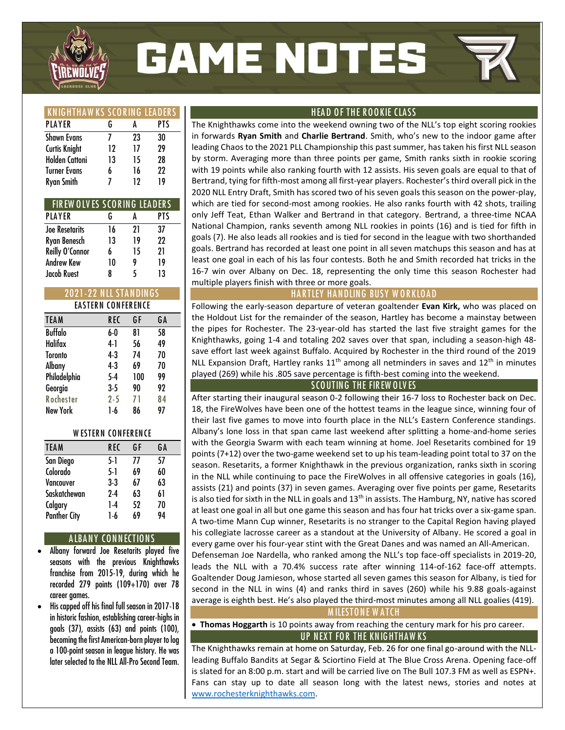

# **GAME NOTES**

| <b>KNIGHTHAWKS SCORING LEADERS</b> |    |    |     |
|------------------------------------|----|----|-----|
| PLAYER                             | G  | Α  | PTS |
| <b>Shawn Evans</b>                 |    | 23 | 30  |
| <b>Curtis Knight</b>               | 12 | 17 | 79  |
| <b>Holden Cattoni</b>              | 13 | 15 | 28  |
| <b>Turner Evans</b>                | 6  | 16 | 22  |
| <b>Ryan Smith</b>                  |    | 19 | 19  |

| FIREW OLVES SCORING LEADERS |    |    |     |
|-----------------------------|----|----|-----|
| PLAYER                      | G  | A  | PTS |
| <b>Joe Resetarits</b>       | 16 | 21 | 37  |
| Ryan Benesch                | 13 | 19 | 22  |
| Reilly O'Connor             | 6  | 15 | 21  |
| <b>Andrew Kew</b>           | 10 | 9  | 19  |
| <b>Jacob Ruest</b>          | ጸ  | 5  | 13  |

| <b>2021-22 NLL STANDINGS</b> |            |     |    |  |  |  |  |
|------------------------------|------------|-----|----|--|--|--|--|
| <b>EASTERN CONFERENCE</b>    |            |     |    |  |  |  |  |
| <b>TEAM</b>                  | <b>REC</b> | GF  | GΛ |  |  |  |  |
| <b>Buffalo</b>               | 6-0        | 81  | 58 |  |  |  |  |
| Halifax                      | 41         | 56  | 49 |  |  |  |  |
| <b>Toronto</b>               | 4.3        | 74  | 70 |  |  |  |  |
| Albany                       | $4-3$      | 69  | 70 |  |  |  |  |
| Philadelphia                 | 5-4        | 100 | 99 |  |  |  |  |
| Georgia                      | $3-5$      | 90  | 92 |  |  |  |  |
| Rochester                    | $2 - 5$    | 71  | 84 |  |  |  |  |
| New York                     | 1-6        | 86  | 97 |  |  |  |  |

#### **W ESTER N CON FER EN CE**

| <b>TEAM</b>         | REC   | GF | GΛ |
|---------------------|-------|----|----|
| San Diego           | 5-1   | 77 | 57 |
| Colorado            | 5-1   | 69 | 60 |
| Vancouver           | $3-3$ | 67 | 63 |
| Saskatchewan        | $2-4$ | 63 | 61 |
| Calgary             | 1-4   | 52 | 70 |
| <b>Panther City</b> | 1-6   | 69 | 94 |
|                     |       |    |    |

#### **A LBA N Y CON N ECTION S**

- **Albany forward Joe Resetarits played five seasons with the previous Knighthawks franchise from 2015-19, during which he recorded 279 points (109+170) over 78 career games.**
- **His capped off his final full season in 2017-18 in historic fashion, establishing career-highs in goals (37), assists (63) and points (100), becoming the first American-born player to log a 100-point season in league history. He was later selected to the NLL All-Pro Second Team.**

#### **HEA D O F THE R O O KIE CLA SS**

The Knighthawks come into the weekend owning two of the NLL's top eight scoring rookies in forwards **Ryan Smith** and **Charlie Bertrand**. Smith, who's new to the indoor game after leading Chaos to the 2021 PLL Championship this past summer, has taken his first NLL season by storm. Averaging more than three points per game, Smith ranks sixth in rookie scoring with 19 points while also ranking fourth with 12 assists. His seven goals are equal to that of Bertrand, tying for fifth-most among all first-year players. Rochester's third overall pick in the 2020 NLL Entry Draft, Smith has scored two of his seven goals this season on the power-play, which are tied for second-most among rookies. He also ranks fourth with 42 shots, trailing only Jeff Teat, Ethan Walker and Bertrand in that category. Bertrand, a three-time NCAA National Champion, ranks seventh among NLL rookies in points (16) and is tied for fifth in goals (7). He also leads all rookies and is tied for second in the league with two shorthanded goals. Bertrand has recorded at least one point in all seven matchups this season and has at least one goal in each of his las four contests. Both he and Smith recorded hat tricks in the 16-7 win over Albany on Dec. 18, representing the only time this season Rochester had multiple players finish with three or more goals.

#### **HARTLEY HANDLING BUSY WORKLOAD**

Following the early-season departure of veteran goaltender **Evan Kirk,** who was placed on the Holdout List for the remainder of the season, Hartley has become a mainstay between the pipes for Rochester. The 23-year-old has started the last five straight games for the Knighthawks, going 1-4 and totaling 202 saves over that span, including a season-high 48 save effort last week against Buffalo. Acquired by Rochester in the third round of the 2019 NLL Expansion Draft, Hartley ranks  $11<sup>th</sup>$  among all netminders in saves and  $12<sup>th</sup>$  in minutes played (269) while his .805 save percentage is fifth-best coming into the weekend.

#### **SCO UTING THE FIR EW O LV ES**

After starting their inaugural season 0-2 following their 16-7 loss to Rochester back on Dec. 18, the FireWolves have been one of the hottest teams in the league since, winning four of their last five games to move into fourth place in the NLL's Eastern Conference standings. Albany's lone loss in that span came last weekend after splitting a home-and-home series with the Georgia Swarm with each team winning at home. Joel Resetarits combined for 19 points (7+12) over the two-game weekend set to up his team-leading point total to 37 on the season. Resetarits, a former Knighthawk in the previous organization, ranks sixth in scoring in the NLL while continuing to pace the FireWolves in all offensive categories in goals (16), assists (21) and points (37) in seven games. Averaging over five points per game, Resetarits is also tied for sixth in the NLL in goals and  $13<sup>th</sup>$  in assists. The Hamburg, NY, native has scored at least one goal in all but one game this season and has four hat tricks over a six-game span. A two-time Mann Cup winner, Resetarits is no stranger to the Capital Region having played his collegiate lacrosse career as a standout at the University of Albany. He scored a goal in every game over his four-year stint with the Great Danes and was named an All-American.

Defenseman Joe Nardella, who ranked among the NLL's top face-off specialists in 2019-20, leads the NLL with a 70.4% success rate after winning 114-of-162 face-off attempts. Goaltender Doug Jamieson, whose started all seven games this season for Albany, is tied for second in the NLL in wins (4) and ranks third in saves (260) while his 9.88 goals-against average is eighth best. He's also played the third-most minutes among all NLL goalies (419).

#### **M ILESTO N E W A TCH**

• **Thomas Hoggarth** is 10 points away from reaching the century mark for his pro career. **UP NEXT FOR THE KNIGHTHAWKS** 

The Knighthawks remain at home on Saturday, Feb. 26 for one final go-around with the NLLleading Buffalo Bandits at Segar & Sciortino Field at The Blue Cross Arena. Opening face-off is slated for an 8:00 p.m. start and will be carried live on The Bull 107.3 FM as well as ESPN+. Fans can stay up to date all season long with the latest news, stories and notes at [www.rochesterknighthawks.com.](http://www.rochesterknighthawks.com/)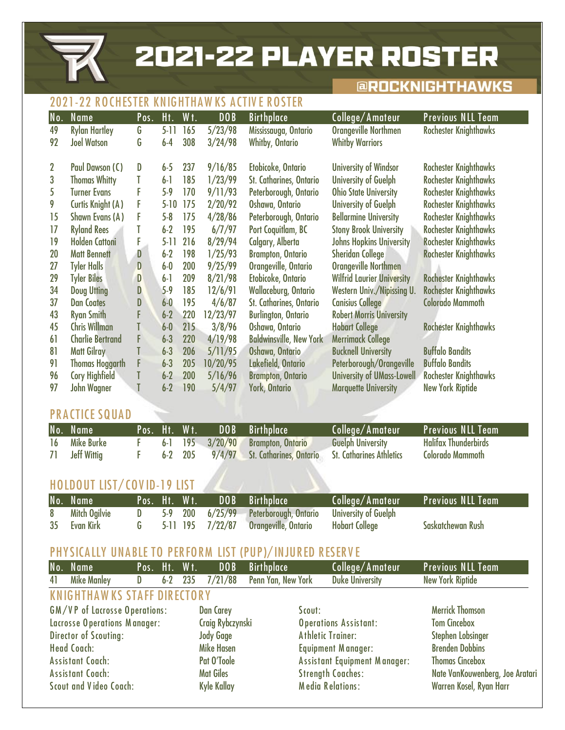**2021-22 PLAYER ROSTER** 

## **@ROCKNIGHTHAWKS**

## **2021-22 R O CHESTER KNIG HTHA W KS A CTIV E R O STER**

| No.            | <b>Name</b>              | Pos. | Ht.      | Wt. | DOB      | <b>Birthplace</b>              | College/Amateur                   | <b>Previous NLL Team</b>     |
|----------------|--------------------------|------|----------|-----|----------|--------------------------------|-----------------------------------|------------------------------|
| 49             | <b>Rylan Hartley</b>     | G    | $5-11$   | 165 | 5/23/98  | Mississauga, Ontario           | <b>Orangeville Northmen</b>       | <b>Rochester Knighthawks</b> |
| 92             | <b>Joel Watson</b>       | G    | $6-4$    | 308 | 3/24/98  | <b>Whitby, Ontario</b>         | <b>Whitby Warriors</b>            |                              |
|                |                          |      |          |     |          |                                |                                   |                              |
| $\overline{2}$ | Paul Dawson (C)          | D    | $6-5$    | 237 | 9/16/85  | Etobicoke, Ontario             | <b>University of Windsor</b>      | <b>Rochester Knighthawks</b> |
| 3              | <b>Thomas Whitty</b>     | T    | $6-1$    | 185 | 1/23/99  | St. Catharines, Ontario        | <b>University of Guelph</b>       | <b>Rochester Knighthawks</b> |
| 5              | <b>Turner Evans</b>      | F    | $5-9$    | 170 | 9/11/93  | Peterborough, Ontario          | <b>Ohio State University</b>      | <b>Rochester Knighthawks</b> |
| 9              | <b>Curtis Knight (A)</b> | F    | $5 - 10$ | 175 | 2/20/92  | Oshawa, Ontario                | University of Guelph              | <b>Rochester Knighthawks</b> |
| 15             | Shawn Evans (A)          | F    | $5-8$    | 175 | 4/28/86  | Peterborough, Ontario          | <b>Bellarmine University</b>      | <b>Rochester Knighthawks</b> |
| 17             | <b>Ryland Rees</b>       |      | $6-2$    | 195 | 6/7/97   | Port Coquitlam, BC             | <b>Stony Brook University</b>     | <b>Rochester Knighthawks</b> |
| 19             | <b>Holden Cattoni</b>    | F    | $5 - 11$ | 216 | 8/29/94  | Calgary, Alberta               | <b>Johns Hopkins University</b>   | <b>Rochester Knighthawks</b> |
| 20             | <b>Matt Bennett</b>      | D    | $6-2$    | 198 | 1/25/93  | <b>Brampton, Ontario</b>       | <b>Sheridan College</b>           | <b>Rochester Knighthawks</b> |
| 27             | <b>Tyler Halls</b>       | D    | $6-0$    | 200 | 9/25/99  | Orangeville, Ontario           | Orangeville Northmen              |                              |
| 29             | <b>Tyler Biles</b>       | D    | $6-1$    | 209 | 8/21/98  | Etobicoke, Ontario             | <b>Wilfrid Laurier University</b> | <b>Rochester Knighthawks</b> |
| 34             | <b>Doug Utting</b>       | D    | $5-9$    | 185 | 12/6/91  | <b>Wallaceburg, Ontario</b>    | Western Univ./Nipissing U.        | <b>Rochester Knighthawks</b> |
| 37             | <b>Dan Coates</b>        | D    | $6-0$    | 195 | 4/6/87   | St. Catharines, Ontario        | <b>Canisius College</b>           | <b>Colorado Mammoth</b>      |
| 43             | <b>Ryan Smith</b>        | F    | $6-2$    | 220 | 12/23/97 | <b>Burlington, Ontario</b>     | <b>Robert Morris University</b>   |                              |
| 45             | <b>Chris Willman</b>     | T    | $6-0$    | 215 | 3/8/96   | Oshawa, Ontario                | <b>Hobart College</b>             | <b>Rochester Knighthawks</b> |
| 61             | <b>Charlie Bertrand</b>  | F    | $6 - 3$  | 220 | 4/19/98  | <b>Baldwinsville, New York</b> | <b>Merrimack College</b>          |                              |
| 81             | <b>Matt Gilray</b>       | T    | $6 - 3$  | 206 | 5/11/95  | Oshawa, Ontario                | <b>Bucknell University</b>        | <b>Buffalo Bandits</b>       |
| 91             | <b>Thomas Hoggarth</b>   | F    | $6 - 3$  | 205 | 10/20/95 | Lakefield, Ontario             | Peterborough/Orangeville          | <b>Buffalo Bandits</b>       |
| 96             | <b>Cory Highfield</b>    | T    | $6-2$    | 200 | 5/16/96  | <b>Brampton, Ontario</b>       | <b>University of UMass-Lowell</b> | <b>Rochester Knighthawks</b> |
| 97             | John Wagner              | T    | $6-2$    | 190 | 5/4/97   | <b>York, Ontario</b>           | <b>Marquette University</b>       | <b>New York Riptide</b>      |

## **PRACTICE SQUAD**

|    | No. Name           | LPos. Ht. Wt.' |  | DOB Birthplace                                                  | College/Amateur          | Previous NLL Team'          |
|----|--------------------|----------------|--|-----------------------------------------------------------------|--------------------------|-----------------------------|
|    | 16 Mike Burke      |                |  | 6-1 195 3/20/90 Brampton, Ontario                               | <b>Guelph University</b> | <b>Halifax Thunderbirds</b> |
| 71 | <b>Jeff Wittig</b> |                |  | 6-2 205 9/4/97 St. Catharines, Ontario St. Catharines Athletics |                          | <b>Colorado Mammoth</b>     |

## **HO LDOUT LIST/ CO V ID-19 LIST**

| No. Name        | Pos. Ht. Wt. |  | <b>DOB</b> Birthplace                                        | College/Amateur Previous NLL Team |                   |
|-----------------|--------------|--|--------------------------------------------------------------|-----------------------------------|-------------------|
| 8 Mitch Ogilvie |              |  | D 5-9 200 6/25/99 Peterborough, Ontario University of Guelph |                                   |                   |
| 35 Evan Kirk    |              |  | 5-11 195 7/22/87 Orangeville, Ontario Hobart College         |                                   | Saskatchewan Rush |

## **PHYSICALLY UNABLE TO PERFORM LIST (PUP)/INJURED RESERVE**

|    | No. Name                           | Pos. Ht. Wt. |       |     | DOB                | <b>Birthplace</b>  |        | College/Amateur                     | <b>Previous NLL Team</b>        |
|----|------------------------------------|--------------|-------|-----|--------------------|--------------------|--------|-------------------------------------|---------------------------------|
| 41 | <b>Mike Manley</b>                 | D            | $6-2$ | 235 | 7/21/88            | Penn Yan, New York |        | <b>Duke University</b>              | <b>New York Riptide</b>         |
|    | <b>KNIGHTHAWKS STAFF DIRECTORY</b> |              |       |     |                    |                    |        |                                     |                                 |
|    | GM/VP of Lacrosse Operations:      |              |       |     | <b>Dan Carey</b>   |                    | Scout: |                                     | <b>Merrick Thomson</b>          |
|    | Lacrosse Operations Manager:       |              |       |     | Craig Rybczynski   |                    |        | <b>Operations Assistant:</b>        | <b>Tom Cincebox</b>             |
|    | <b>Director of Scouting:</b>       |              |       |     | <b>Jody Gage</b>   |                    |        | <b>Athletic Trainer:</b>            | Stephen Lobsinger               |
|    | <b>Head Coach:</b>                 |              |       |     | <b>Mike Hasen</b>  |                    |        | Equipment Manager:                  | <b>Brenden Dobbins</b>          |
|    | Assistant Coach:                   |              |       |     | Pat O'Toole        |                    |        | <b>Assistant Equipment Manager:</b> | <b>Thomas Cincebox</b>          |
|    | Assistant Coach:                   |              |       |     | <b>Mat Giles</b>   |                    |        | <b>Strength Coaches:</b>            | Nate VanKouwenberg, Joe Aratari |
|    | <b>Scout and Video Coach:</b>      |              |       |     | <b>Kyle Kallay</b> |                    |        | <b>Media Relations:</b>             | Warren Kosel, Ryan Harr         |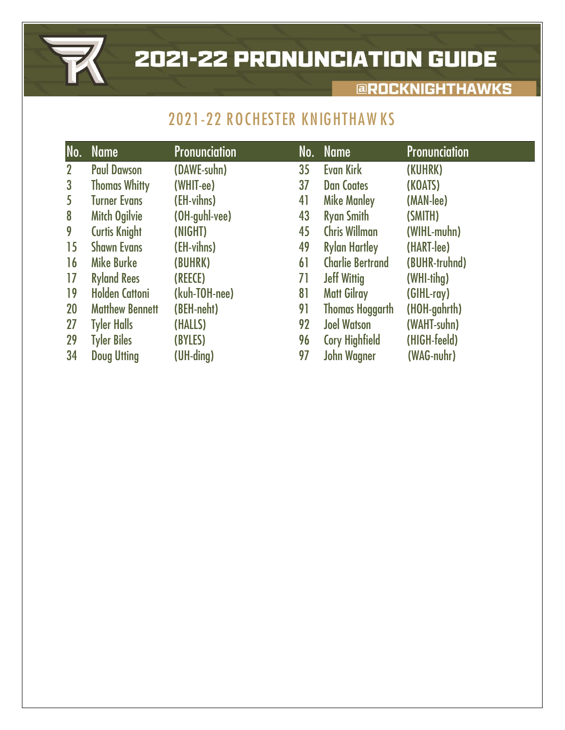

# **2021-22 PRONUNCIATION GUIDE**

## **EROCKNIGHTHAWKS**

# **2021-22 ROCHESTER KNIGHTHAWKS**

| No.          | <b>Name</b>            | <b>Pronunciation</b> | No. | <b>Name</b>             | <b>Pronunciation</b> |
|--------------|------------------------|----------------------|-----|-------------------------|----------------------|
| $\mathbf{2}$ | <b>Paul Dawson</b>     | (DAWE-suhn)          | 35  | Evan Kirk               | (KUHRK)              |
| $\mathbf{3}$ | <b>Thomas Whitty</b>   | (WHIT-ee)            | 37  | <b>Dan Coates</b>       | (KOATS)              |
| 5            | <b>Turner Evans</b>    | (EH-vihns)           | 41  | <b>Mike Manley</b>      | (MAN-lee)            |
| 8            | <b>Mitch Ogilvie</b>   | (OH-guhl-vee)        | 43  | <b>Ryan Smith</b>       | (SMITH)              |
| 9            | <b>Curtis Knight</b>   | (NIGHT)              | 45  | <b>Chris Willman</b>    | (WIHL-muhn)          |
| 15           | <b>Shawn Evans</b>     | (EH-vihns)           | 49  | <b>Rylan Hartley</b>    | (HART-lee)           |
| 16           | <b>Mike Burke</b>      | (BUHRK)              | 61  | <b>Charlie Bertrand</b> | (BUHR-truhnd)        |
| 17           | <b>Ryland Rees</b>     | (REECE)              | 71  | <b>Jeff Wittig</b>      | (WHI-tihg)           |
| 19           | <b>Holden Cattoni</b>  | (kuh-TOH-nee)        | 81  | <b>Matt Gilray</b>      | (GIHL-ray)           |
| 20           | <b>Matthew Bennett</b> | (BEH-neht)           | 91  | <b>Thomas Hoggarth</b>  | (HOH-gahrth)         |
| 27           | <b>Tyler Halls</b>     | (HALLS)              | 92  | <b>Joel Watson</b>      | (WAHT-suhn)          |
| 29           | <b>Tyler Biles</b>     | (BYLES)              | 96  | <b>Cory Highfield</b>   | (HIGH-feeld)         |
| 34           | <b>Doug Utting</b>     | $(UH$ -ding)         | 97  | <b>John Wagner</b>      | (WAG-nuhr)           |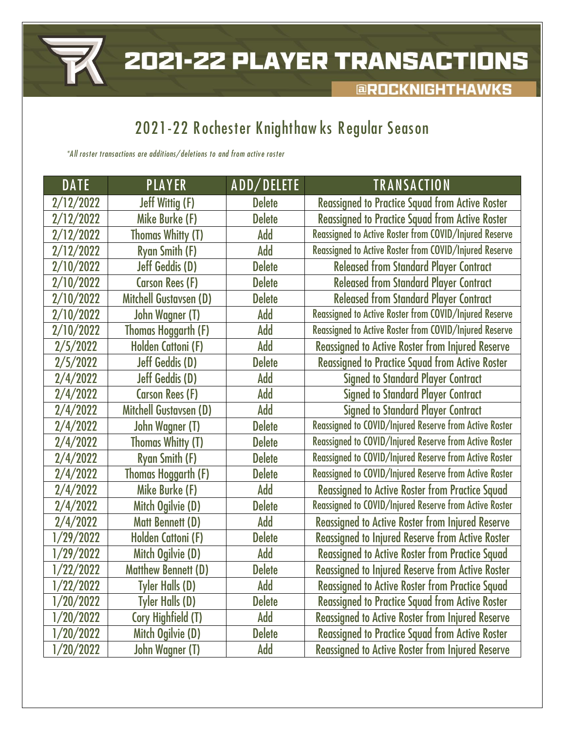

**@ROCKNIGHTHAWKS** 

# **2021-22 R ochester Knighthaw ks R egular Season**

*\*A ll roster transactions are additions/ deletions to and from active roster*

| <b>DATE</b> | <b>PLAYER</b>                 | ADD/DELETE    | <b>TRANSACTION</b>                                      |
|-------------|-------------------------------|---------------|---------------------------------------------------------|
| 2/12/2022   | <b>Jeff Wittig (F)</b>        | <b>Delete</b> | <b>Reassigned to Practice Squad from Active Roster</b>  |
| 2/12/2022   | Mike Burke (F)                | <b>Delete</b> | <b>Reassigned to Practice Squad from Active Roster</b>  |
| 2/12/2022   | <b>Thomas Whitty (T)</b>      | Add           | Reassigned to Active Roster from COVID/Injured Reserve  |
| 2/12/2022   | <b>Ryan Smith (F)</b>         | Add           | Reassigned to Active Roster from COVID/Injured Reserve  |
| 2/10/2022   | <b>Jeff Geddis (D)</b>        | <b>Delete</b> | <b>Released from Standard Player Contract</b>           |
| 2/10/2022   | <b>Carson Rees (F)</b>        | <b>Delete</b> | <b>Released from Standard Player Contract</b>           |
| 2/10/2022   | <b>Mitchell Gustavsen (D)</b> | <b>Delete</b> | <b>Released from Standard Player Contract</b>           |
| 2/10/2022   | John Wagner (T)               | Add           | Reassigned to Active Roster from COVID/Injured Reserve  |
| 2/10/2022   | <b>Thomas Hoggarth (F)</b>    | Add           | Reassigned to Active Roster from COVID/Injured Reserve  |
| 2/5/2022    | Holden Cattoni (F)            | Add           | <b>Reassigned to Active Roster from Injured Reserve</b> |
| 2/5/2022    | <b>Jeff Geddis (D)</b>        | <b>Delete</b> | <b>Reassigned to Practice Squad from Active Roster</b>  |
| 2/4/2022    | <b>Jeff Geddis (D)</b>        | Add           | <b>Signed to Standard Player Contract</b>               |
| 2/4/2022    | <b>Carson Rees (F)</b>        | Add           | <b>Signed to Standard Player Contract</b>               |
| 2/4/2022    | Mitchell Gustavsen (D)        | Add           | <b>Signed to Standard Player Contract</b>               |
| 2/4/2022    | John Wagner (T)               | <b>Delete</b> | Reassigned to COVID/Injured Reserve from Active Roster  |
| 2/4/2022    | <b>Thomas Whitty (T)</b>      | <b>Delete</b> | Reassigned to COVID/Injured Reserve from Active Roster  |
| 2/4/2022    | <b>Ryan Smith (F)</b>         | <b>Delete</b> | Reassigned to COVID/Injured Reserve from Active Roster  |
| 2/4/2022    | Thomas Hoggarth (F)           | <b>Delete</b> | Reassigned to COVID/Injured Reserve from Active Roster  |
| 2/4/2022    | Mike Burke (F)                | Add           | <b>Reassigned to Active Roster from Practice Squad</b>  |
| 2/4/2022    | Mitch Ogilvie (D)             | <b>Delete</b> | Reassigned to COVID/Injured Reserve from Active Roster  |
| 2/4/2022    | <b>Matt Bennett (D)</b>       | Add           | <b>Reassigned to Active Roster from Injured Reserve</b> |
| 1/29/2022   | Holden Cattoni (F)            | <b>Delete</b> | <b>Reassigned to Injured Reserve from Active Roster</b> |
| 1/29/2022   | Mitch Ogilvie (D)             | Add           | <b>Reassigned to Active Roster from Practice Squad</b>  |
| 1/22/2022   | <b>Matthew Bennett (D)</b>    | <b>Delete</b> | Reassigned to Injured Reserve from Active Roster        |
| 1/22/2022   | <b>Tyler Halls (D)</b>        | Add           | <b>Reassigned to Active Roster from Practice Squad</b>  |
| 1/20/2022   | <b>Tyler Halls (D)</b>        | <b>Delete</b> | <b>Reassigned to Practice Squad from Active Roster</b>  |
| 1/20/2022   | <b>Cory Highfield (T)</b>     | Add           | <b>Reassigned to Active Roster from Injured Reserve</b> |
| 1/20/2022   | Mitch Ogilvie (D)             | <b>Delete</b> | <b>Reassigned to Practice Squad from Active Roster</b>  |
| 1/20/2022   | John Wagner (T)               | Add           | <b>Reassigned to Active Roster from Injured Reserve</b> |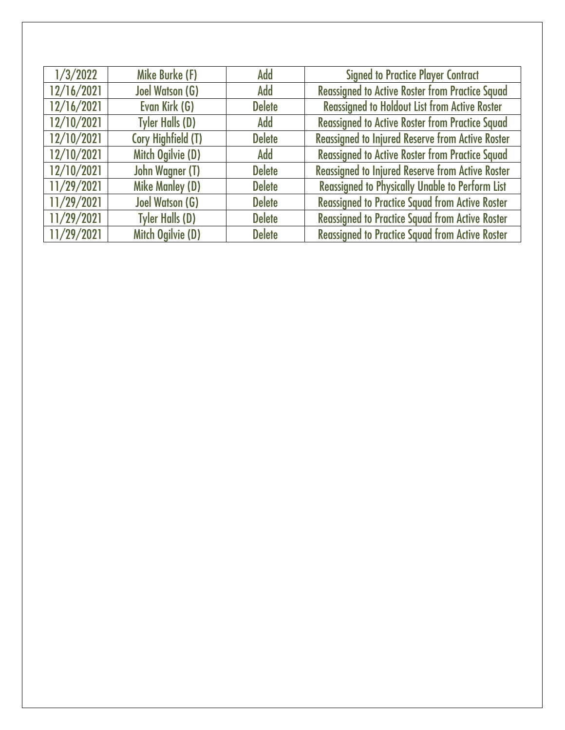| 1/3/2022   | Mike Burke (F)         | Add           | <b>Signed to Practice Player Contract</b>               |
|------------|------------------------|---------------|---------------------------------------------------------|
| 12/16/2021 | <b>Joel Watson (G)</b> | Add           | <b>Reassigned to Active Roster from Practice Squad</b>  |
| 12/16/2021 | Evan Kirk (G)          | <b>Delete</b> | <b>Reassigned to Holdout List from Active Roster</b>    |
| 12/10/2021 | <b>Tyler Halls (D)</b> | Add           | <b>Reassigned to Active Roster from Practice Squad</b>  |
| 12/10/2021 | Cory Highfield (T)     | <b>Delete</b> | <b>Reassigned to Injured Reserve from Active Roster</b> |
| 12/10/2021 | Mitch Ogilvie (D)      | Add           | <b>Reassigned to Active Roster from Practice Squad</b>  |
| 12/10/2021 | John Wagner (T)        | <b>Delete</b> | <b>Reassigned to Injured Reserve from Active Roster</b> |
| 11/29/2021 | <b>Mike Manley (D)</b> | <b>Delete</b> | <b>Reassigned to Physically Unable to Perform List</b>  |
| 11/29/2021 | <b>Joel Watson (G)</b> | <b>Delete</b> | <b>Reassigned to Practice Squad from Active Roster</b>  |
| 11/29/2021 | <b>Tyler Halls (D)</b> | <b>Delete</b> | <b>Reassigned to Practice Squad from Active Roster</b>  |
| 11/29/2021 | Mitch Ogilvie (D)      | <b>Delete</b> | <b>Reassigned to Practice Squad from Active Roster</b>  |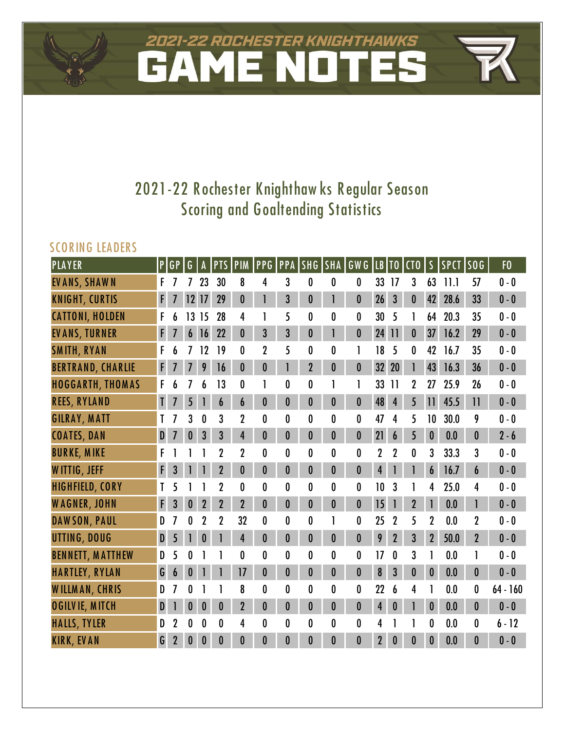# 2021-22 ROCHESTER KNIGHTHAWKS

# **2021-22 R ochester Knighthaw ks R egular Season Scoring and Goaltending Statistics**

## **SCO R ING LEA DER S**

| PLAYER                   | $\mathsf{P}$ | GP               | G              | A                | <b>PTS</b>     | PIM              |                  | <b>PPG PPA SHG</b> |                  | <b>SHA</b>       | GW G             |                  | LB TO            | CT <sub>0</sub>  | $\mathsf S$      | SPCT SOG |                 | F <sub>0</sub> |
|--------------------------|--------------|------------------|----------------|------------------|----------------|------------------|------------------|--------------------|------------------|------------------|------------------|------------------|------------------|------------------|------------------|----------|-----------------|----------------|
| EVANS, SHAWN             | F            |                  |                | 23               | 30             | 8                | 4                | 3                  | 0                | $\boldsymbol{0}$ | $\boldsymbol{0}$ | 33               | 17               | 3                | 63               | 11.1     | 57              | $0 - 0$        |
| <b>KNIGHT, CURTIS</b>    | $\mathsf{F}$ | $\overline{I}$   | 12             | 17               | 29             | $\boldsymbol{0}$ |                  | $\overline{3}$     | $\bf{0}$         | 1                | $\mathbf 0$      | 26               | $\overline{3}$   | $\bf{0}$         | 42               | 28.6     | 33              | $0 - 0$        |
| <b>CATTONI, HOLDEN</b>   | F            |                  | 13             | 15               | 28             | 4                |                  | 5                  | 0                | $\boldsymbol{0}$ | 0                | 30               | 5                |                  | 64               | 20.3     | 35              | $0 - 0$        |
| <b>EVANS, TURNER</b>     | F            |                  | 6              | 16               | 22             | $\bf{0}$         | 3                | 3                  | $\bf{0}$         | 1                | $\boldsymbol{0}$ | 24               | $\overline{11}$  | $\boldsymbol{0}$ | 37               | 16.2     | 29              | $0 - 0$        |
| <b>SMITH, RYAN</b>       | F            |                  |                | 12               | 19             | 0                | $\overline{2}$   | 5                  | 0                | $\bf{0}$         | 1                | 18               | 5                | 0                | 42               | 16.7     | 35              | $0 - 0$        |
| <b>BERTRAND, CHARLIE</b> | F            | 7                | $\overline{I}$ | 9                | 16             | 0                | 0                |                    | $\overline{2}$   | $\boldsymbol{0}$ | $\boldsymbol{0}$ | 32               | 20               |                  | 43               | 16.3     | 36              | $0 - 0$        |
| <b>HOGGARTH, THOMAS</b>  | F            |                  |                | 6                | 13             | 0                |                  | 0                  | 0                |                  | 1                | 33               | $\overline{1}$   | 2                | 27               | 25.9     | 26              | $0 - 0$        |
| <b>REES, RYLAND</b>      | $\mathsf{L}$ |                  | 5              |                  | 6              | 6                | $\boldsymbol{0}$ | $\bf{0}$           | 0                | $\boldsymbol{0}$ | $\boldsymbol{0}$ | 48               | 4                | 5                | 11               | 45.5     | $\overline{11}$ | $0 - 0$        |
| <b>GILRAY, MATT</b>      |              |                  | 3              | 0                | 3              | $\overline{2}$   | $\mathbf{0}$     | 0                  | $\mathbf{0}$     | $\boldsymbol{0}$ | 0                | 47               | 4                | 5                | 10               | 30.0     | 9               | $0 - 0$        |
| <b>COATES, DAN</b>       | $\mathbf{D}$ | $\overline{I}$   | $\bf{0}$       | 3                | $\mathbf{3}$   | $\overline{4}$   | 0                | $\bf{0}$           | $\boldsymbol{0}$ | $\boldsymbol{0}$ | $\bf{0}$         | 21               | 6                | 5                | $\boldsymbol{0}$ | 0.0      | $\bf{0}$        | $2 - 6$        |
| <b>BURKE, MIKE</b>       | F            |                  |                |                  |                | $\mathbf 2$      | 0                | 0                  | 0                | 0                | $\bf{0}$         | 2                | $\mathbf 2$      | 0                | 3                | 33.3     | 3               | $0 - 0$        |
| W ITTIG, JEFF            | F            | 3                |                |                  | $\overline{2}$ | 0                | $\boldsymbol{0}$ | $\bf{0}$           | $\bf{0}$         | $\boldsymbol{0}$ | $\boldsymbol{0}$ | $\overline{4}$   |                  |                  | 6                | 16.7     | 6               | $0 - 0$        |
| <b>HIGHFIELD, CORY</b>   |              | 5                |                |                  | $\overline{2}$ | $\mathbf{0}$     | $\mathbf{0}$     | 0                  | 0                | 0                | 0                | 10               | 3                |                  | 4                | 25.0     | 4               | $0 - 0$        |
| <b>WAGNER, JOHN</b>      | F            | 3                | $\bf{0}$       | $\mathbf 2$      | $\overline{2}$ | $\overline{2}$   | $\boldsymbol{0}$ | $\bf{0}$           | 0                | $\boldsymbol{0}$ | $\boldsymbol{0}$ | 15               |                  | $\overline{2}$   |                  | 0.0      |                 | $0 - 0$        |
| DAWSON, PAUL             | D            |                  | 0              | $\overline{2}$   | $\overline{2}$ | 32               | $\bf{0}$         | 0                  | 0                |                  | 0                | 25               | $\overline{2}$   | 5                | $\overline{2}$   | 0.0      | $\mathbf{2}$    | $0 - 0$        |
| UTTING, DOUG             | $\mathbf D$  | 5                | $\mathbf{I}$   | 0                |                | 4                | $\bf{0}$         | $\bf{0}$           | $\bf{0}$         | $\boldsymbol{0}$ | $\boldsymbol{0}$ | 9                | $\overline{2}$   | 3 <sup>°</sup>   | $\overline{2}$   | 50.0     | $\overline{2}$  | $0 - 0$        |
| <b>BENNETT, MATTHEW</b>  | D            | 5                | N              |                  |                | 0                | 0                | 0                  | 0                | 0                | $\boldsymbol{0}$ | 17               | $\mathbf{0}$     | 3                |                  | 0.0      |                 | $0 - 0$        |
| <b>HARTLEY, RYLAN</b>    | G            | $\boldsymbol{6}$ | $\bf{0}$       |                  |                | 17               | $\boldsymbol{0}$ | $\bf{0}$           | $\bf{0}$         | $\boldsymbol{0}$ | $\mathbf{0}$     | $\boldsymbol{8}$ | 3                | $\bf{0}$         | $\boldsymbol{0}$ | 0.0      | $\bf{0}$        | $0 - 0$        |
| <b>WILLMAN, CHRIS</b>    | D            |                  |                |                  |                | 8                | $\mathbf{0}$     | 0                  | 0                | 0                | $\bf{0}$         | 22               |                  | 4                |                  | 0.0      | 0               | $64 - 160$     |
| <b>OGILVIE, MITCH</b>    | $\mathbf{D}$ |                  | $\bf{0}$       | $\boldsymbol{0}$ | $\bf{0}$       | $\overline{2}$   | $\bf{0}$         | $\bf{0}$           | $\bf{0}$         | $\boldsymbol{0}$ | $\boldsymbol{0}$ | $\overline{4}$   | $\boldsymbol{0}$ |                  | $\boldsymbol{0}$ | 0.0      | $\bf{0}$        | $0 - 0$        |
| <b>HALLS, TYLER</b>      | D            | $\overline{2}$   | 0              | 0                | $\bf{0}$       | 4                | $\bf{0}$         | 0                  | $\mathbf{0}$     | 0                | $\bf{0}$         | 4                |                  |                  | 0                | 0.0      | $\mathbf{0}$    | $6 - 12$       |
| <b>KIRK, EVAN</b>        | G            | $\overline{2}$   | 0              | $\boldsymbol{0}$ | $\bf{0}$       | $\mathbf{0}$     | $\boldsymbol{0}$ | $\bf{0}$           | 0                | $\bf{0}$         | $\bf{0}$         | $\overline{2}$   | 0                | $\bf{0}$         | 0                | 0.0      | $\mathbf{0}$    | $0 - 0$        |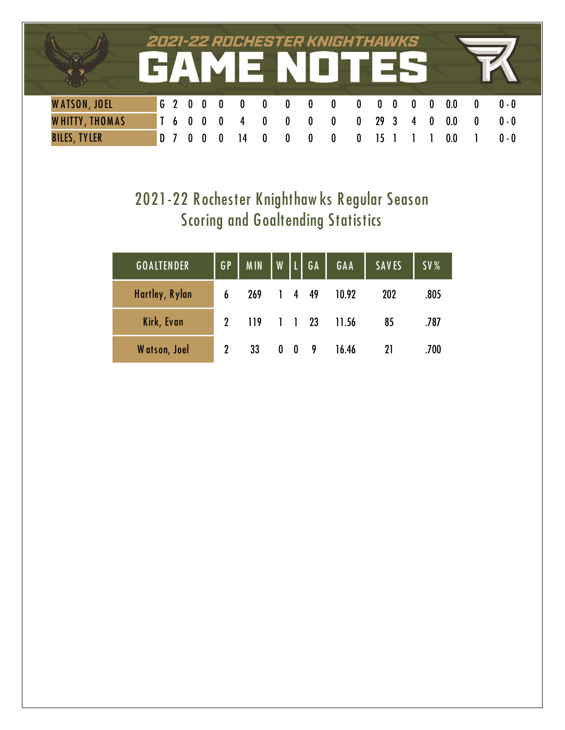|                       |                  |  |           |              |                  |              | 2021-22 ROCHESTER KNIGHTHAWKS<br>GAME NOTES |                   |         |          |             |     |         |  |
|-----------------------|------------------|--|-----------|--------------|------------------|--------------|---------------------------------------------|-------------------|---------|----------|-------------|-----|---------|--|
| <b>WATSON, JOEL</b>   |                  |  | G 2 0 0 0 | $\mathbf{0}$ | $\mathbf{0}$     | $\mathbf{0}$ | $\bm{0}$                                    | $0\quad 0\quad 0$ |         | $\bf{0}$ | $\mathbf 0$ | 0.0 | $0 - 0$ |  |
| <b>WHITTY, THOMAS</b> | $\overline{1}$ 6 |  |           | $\mathbf{0}$ | $\boldsymbol{0}$ | $\bf{0}$     | $\bf{0}$                                    | $\mathbf{0}$      | 29 3    | 4        | 0           | 0.0 | $0 - 0$ |  |
| <b>BILES, TYLER</b>   | D                |  |           |              | 0                |              |                                             |                   | $15-15$ |          |             | 0.0 | $0 - 0$ |  |

# **2021-22 R ochester Knighthaw ks R egular Season Scoring and Goaltending Statistics**

| <b>GOALTENDER</b> | $G$ $P$             | MIN   W   L   GA |            |                      | GAA   | <b>SAVES</b> | SV%  |
|-------------------|---------------------|------------------|------------|----------------------|-------|--------------|------|
| Hartley, Rylan    | 6                   | 269              |            | 1449                 | 10.92 | 202          | .805 |
| Kirk, Evan        | $\boldsymbol{\eta}$ | 119              |            | $1 \quad 1 \quad 23$ | 11.56 | 85           | .787 |
| Watson, Joel      |                     | 33               | $0\quad 0$ | - 9                  | 16.46 | 21           | .700 |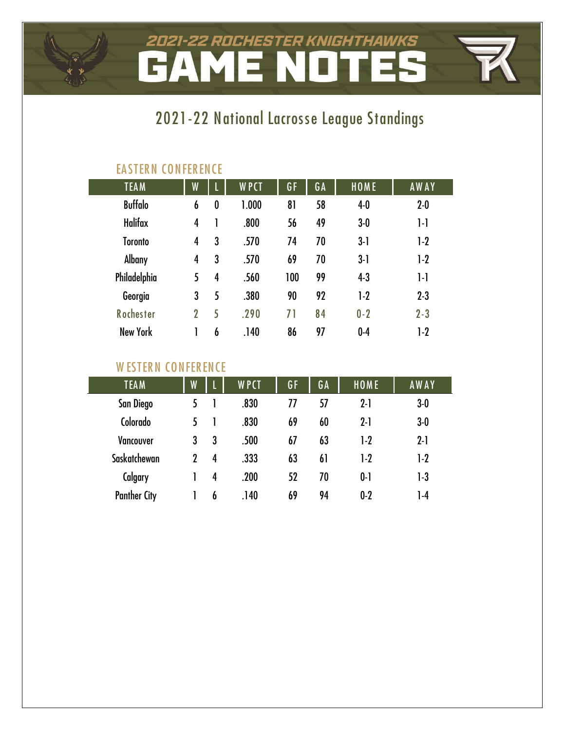# 2021-22 ROCHESTER KNIGHTHAWKS **AME NOT** H

# **2021-22 National Lacros se League Standings**

| <b>TEAM</b>      | W              |                  | <b>WPCT</b> | GF  | GA | HOME    | <b>AWAY</b> |  |  |  |  |  |  |  |
|------------------|----------------|------------------|-------------|-----|----|---------|-------------|--|--|--|--|--|--|--|
| <b>Buffalo</b>   | 6              | $\boldsymbol{0}$ | 1.000       | 81  | 58 | $4-0$   | $2 - 0$     |  |  |  |  |  |  |  |
| <b>Halifax</b>   | 4              |                  | .800        | 56  | 49 | $3-0$   | $1-1$       |  |  |  |  |  |  |  |
| <b>Toronto</b>   | 4              | 3                | .570        | 74  | 70 | $3-1$   | $1-2$       |  |  |  |  |  |  |  |
| <b>Albany</b>    | 4              | 3                | .570        | 69  | 70 | $3-1$   | $1-2$       |  |  |  |  |  |  |  |
| Philadelphia     | 5              | 4                | .560        | 100 | 99 | $4-3$   | $1-1$       |  |  |  |  |  |  |  |
| Georgia          | 3              | 5                | .380        | 90  | 92 | $1-2$   | $2 - 3$     |  |  |  |  |  |  |  |
| <b>Rochester</b> | $\overline{2}$ | 5                | .290        | 71  | 84 | $0 - 2$ | $2 - 3$     |  |  |  |  |  |  |  |
| <b>New York</b>  |                | 6                | .140        | 86  | 97 | $0-4$   | $1-2$       |  |  |  |  |  |  |  |

## **EA STER N CONFER ENCE**

## **WESTERN CONFERENCE**

| <b>TEAM</b>         | W |   | <b>WPCT</b> | GF | GA | HOME    | <b>AWAY</b> |
|---------------------|---|---|-------------|----|----|---------|-------------|
| San Diego           |   |   | .830        | 77 | 57 | $2 - 1$ | $3-0$       |
| Colorado            | 5 |   | .830        | 69 | 60 | $2 - 1$ | $3-0$       |
| <b>Vancouver</b>    | 3 | 3 | .500        | 67 | 63 | $1-2$   | $2 - 1$     |
| Saskatchewan        | 2 | 4 | .333        | 63 | 61 | $1-2$   | $1-2$       |
| Calgary             |   | 4 | .200        | 52 | 70 | $0-1$   | $1-3$       |
| <b>Panther City</b> |   | 6 | .140        | 69 | 94 | $0 - 2$ | $1-4$       |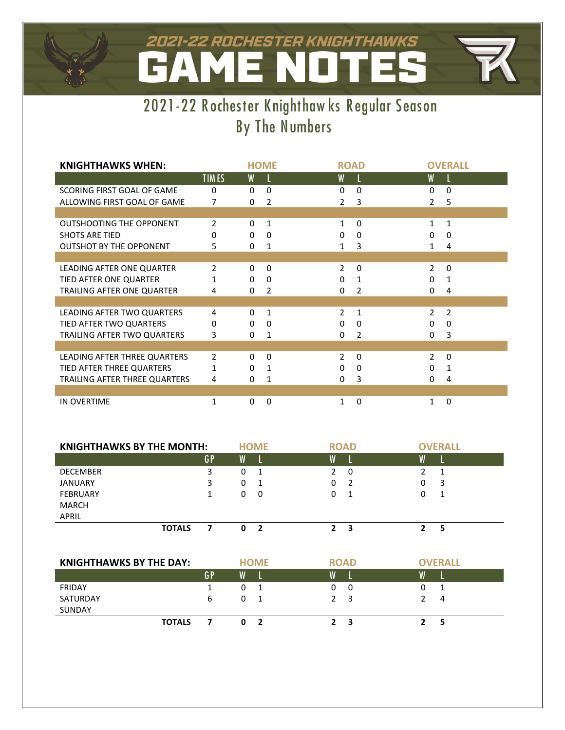#### 2021-22 ROCHESTER KNIGHTHAWKS NOT ME.  $\mathbf{A}$ E.



| <b>KNIGHTHAWKS WHEN:</b>        |              |              | <b>HOME</b>   |                | <b>ROAD</b> |                | <b>OVERALL</b> |
|---------------------------------|--------------|--------------|---------------|----------------|-------------|----------------|----------------|
|                                 | <b>TIMES</b> | W            |               | W              |             | W              |                |
| SCORING FIRST GOAL OF GAME      | 0            | 0            | $\Omega$      | $\Omega$       | $\Omega$    | 0              | $\Omega$       |
| ALLOWING FIRST GOAL OF GAME     | 7            | $\Omega$     | $\mathcal{P}$ | $\mathcal{P}$  | 3           | $\mathcal{P}$  | 5              |
|                                 |              |              |               |                |             |                |                |
| <b>OUTSHOOTING THE OPPONENT</b> | 2            | $\Omega$     | 1             | $\mathbf{1}$   | $\Omega$    | 1              | 1              |
| <b>SHOTS ARE TIED</b>           | 0            | $\mathbf{0}$ | $\Omega$      | 0              | $\Omega$    | 0              | $\Omega$       |
| <b>OUTSHOT BY THE OPPONENT</b>  | 5            | 0            | 1             | 1              | 3           | 1              | 4              |
|                                 |              |              |               |                |             |                |                |
| LEADING AFTER ONE QUARTER       | 2            | $\mathbf{0}$ | 0             | $\mathcal{P}$  | $\Omega$    | $\mathcal{P}$  | $\Omega$       |
| TIED AFTER ONE QUARTER          | 1            | 0            | 0             | 0              | 1           | $\Omega$       | 1              |
| TRAILING AFTER ONE QUARTER      | 4            | 0            | 2             | 0              | 2           | 0              | 4              |
|                                 |              |              |               |                |             |                |                |
| LEADING AFTER TWO QUARTERS      | 4            | 0            | $\mathbf{1}$  | $\mathcal{P}$  | 1           | $\mathcal{P}$  | 2              |
| TIED AFTER TWO QUARTERS         | 0            | $\mathbf{0}$ | 0             | 0              | $\Omega$    | 0              | $\Omega$       |
| TRAILING AFTER TWO QUARTERS     | 3            | 0            | 1             | 0              | 2           | 0              | 3              |
|                                 |              |              |               |                |             |                |                |
| LEADING AFTER THREE QUARTERS    | 2            | $\Omega$     | $\Omega$      | $\overline{2}$ | $\Omega$    | $\overline{2}$ | $\Omega$       |
| TIED AFTER THREE QUARTERS       | 1            | $\mathbf{0}$ | 1             | 0              | $\Omega$    | $\Omega$       | 1              |
| TRAILING AFTER THREE QUARTERS   | 4            | 0            | 1             | $\Omega$       | 3           | 0              | 4              |
|                                 |              |              |               |                |             |                |                |
| <b>IN OVERTIME</b>              | 1            | 0            | 0             | 1              | $\Omega$    | 1              | $\Omega$       |

| <b>KNIGHTHAWKS BY THE MONTH:</b> |               |    |   | <b>HOME</b> |               | <b>ROAD</b> | <b>OVERALL</b> |
|----------------------------------|---------------|----|---|-------------|---------------|-------------|----------------|
|                                  |               | GP | W |             | W             |             |                |
| <b>DECEMBER</b>                  |               | 3  | 0 | - 1         | $\mathcal{P}$ | 0           |                |
| <b>JANUARY</b>                   |               | 3  | 0 | - 1         | 0             | - 2         | 3              |
| <b>FEBRUARY</b>                  |               |    | 0 | - 0         |               | - 1         | 1              |
| <b>MARCH</b>                     |               |    |   |             |               |             |                |
| <b>APRIL</b>                     |               |    |   |             |               |             |                |
|                                  | <b>TOTALS</b> |    | n | - 2         |               | 3           |                |

| <b>KNIGHTHAWKS BY THE DAY:</b> |    | <b>HOME</b> |              |              | <b>ROAD</b> | <b>OVERALL</b> |
|--------------------------------|----|-------------|--------------|--------------|-------------|----------------|
|                                | GP | W           |              | W            |             | W              |
| <b>FRIDAY</b>                  |    | Ü           |              | 0            | 0           |                |
| SATURDAY                       | 6  | $\Omega$    |              |              | 3           | 4              |
| SUNDAY                         |    |             |              |              |             |                |
| <b>TOTALS</b>                  |    | n           | <sup>2</sup> | $\mathbf{z}$ |             |                |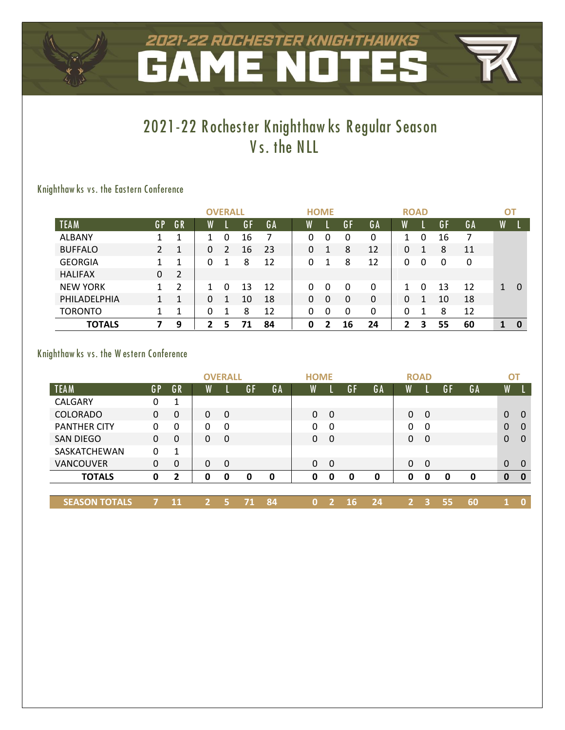# 2021-22 ROCHESTER KNIGHTHAWKS

# **2021-22 R ochester Knighthaw ks R egular Season V s. the NLL**

## **Knighthaw ks vs. the Eas tern Conference**

|                 |    |    | <b>OVERALL</b> |                |    |    | <b>HOME</b> |  |   |    |    | <b>ROAD</b> |   |    |    | ОT |   |
|-----------------|----|----|----------------|----------------|----|----|-------------|--|---|----|----|-------------|---|----|----|----|---|
| <b>TEAM</b>     | GP | GR | $\overline{W}$ |                | GF | GA | W           |  |   | GF | GA | W           |   | GF | GA | W  |   |
| ALBANY          |    |    |                | 0              | 16 |    | 0           |  | 0 | 0  | 0  |             | 0 | 16 |    |    |   |
| <b>BUFFALO</b>  | 2  |    | $\Omega$       | $\mathfrak{p}$ | 16 | 23 | 0           |  |   | 8  | 12 | 0           |   | 8  | 11 |    |   |
| <b>GEORGIA</b>  |    |    |                |                | 8  | 12 | 0           |  |   | 8  | 12 | 0           | 0 |    | 0  |    |   |
| <b>HALIFAX</b>  | 0  | 2  |                |                |    |    |             |  |   |    |    |             |   |    |    |    |   |
| <b>NEW YORK</b> |    | 2  |                | <sup>0</sup>   | 13 | 12 | 0           |  | 0 | 0  | 0  | 1           | 0 | 13 | 12 | 1  | 0 |
| PHILADELPHIA    |    |    | 0              | 1              | 10 | 18 | 0           |  | 0 | 0  | 0  | 0           | 1 | 10 | 18 |    |   |
| <b>TORONTO</b>  |    |    |                |                | 8  | 12 | 0           |  | 0 | 0  | 0  | 0           |   | 8  | 12 |    |   |
| <b>TOTALS</b>   |    | 9  | $\overline{2}$ | 5              | 71 | 84 | 0           |  | 7 | 16 | 24 | 2           | 3 | 55 | 60 | 1  | 0 |

### **Knighthaw ks vs. the W estern Conference**

|                      |          |          |              | <b>OVERALL</b> |    |    |   | <b>HOME</b> |          |     |    |          | <b>ROAD</b> |    |    |                         | <b>OT</b>    |
|----------------------|----------|----------|--------------|----------------|----|----|---|-------------|----------|-----|----|----------|-------------|----|----|-------------------------|--------------|
| <b>TEAM</b>          | GP       | GR       | W            |                | GF | GA | W |             |          | GF  | GA | W        |             | GF | GA | $\overline{\mathsf{W}}$ |              |
| <b>CALGARY</b>       | 0        | 1        |              |                |    |    |   |             |          |     |    |          |             |    |    |                         |              |
| <b>COLORADO</b>      | $\Omega$ | $\Omega$ | $\mathbf{0}$ | $\mathbf 0$    |    |    |   | $\Omega$    | - 0      |     |    | $\Omega$ | $\Omega$    |    |    | $\mathbf{0}$            | $\Omega$     |
| <b>PANTHER CITY</b>  | 0        | 0        | 0            | 0              |    |    |   | 0           | 0        |     |    | 0        | 0           |    |    | $\Omega$                | $\Omega$     |
| <b>SAN DIEGO</b>     | 0        | $\Omega$ | $\Omega$     | $\Omega$       |    |    |   | $\Omega$    | -0       |     |    | 0        | $\Omega$    |    |    | $\mathbf{0}$            | $\Omega$     |
| SASKATCHEWAN         | 0        | 1        |              |                |    |    |   |             |          |     |    |          |             |    |    |                         |              |
| <b>VANCOUVER</b>     | 0        | $\Omega$ | 0            | $\Omega$       |    |    |   | $\Omega$    | $\Omega$ |     |    | $\Omega$ | $\Omega$    |    |    | $\Omega$                | $\Omega$     |
| <b>TOTALS</b>        | 0        | 2        | 0            | 0              | 0  | 0  |   | 0           | 0        | O   | 0  | 0        | 0           | 0  | 0  | $\mathbf 0$             | $\mathbf 0$  |
|                      |          |          |              |                |    |    |   |             |          |     |    |          |             |    |    |                         |              |
| <b>SEASON TOTALS</b> |          | 11       | $\mathbf{2}$ | 5              |    | 84 |   | $\Omega$    |          | -16 | 24 |          | 3           | 55 | 60 |                         | $\mathbf{0}$ |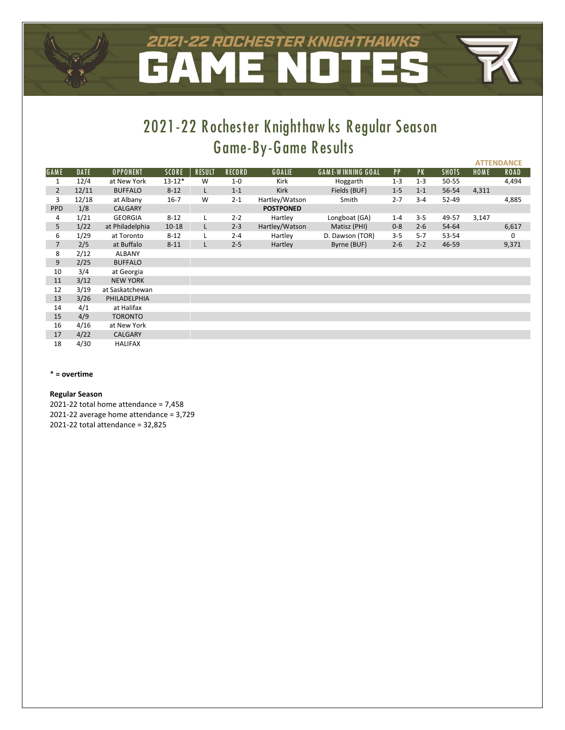# 2021-22 ROCHESTER KNIGHTHAWKS

# **2021-22 R ochester Knighthaw ks R egular Season Game-By-Game R esults**

**ATTENDANCE**

|                |             |                 |              |               |               |                  |                          |         |           |              |       | __________  |
|----------------|-------------|-----------------|--------------|---------------|---------------|------------------|--------------------------|---------|-----------|--------------|-------|-------------|
| <b>GAME</b>    | <b>DATE</b> | <b>OPPONENT</b> | <b>SCORE</b> | <b>RESULT</b> | <b>RECORD</b> | GOALIE           | <b>GAME-WINNING GOAL</b> | PP      | <b>PK</b> | <b>SHOTS</b> | HOME  | <b>ROAD</b> |
| 1              | 12/4        | at New York     | $13 - 12*$   | W             | $1-0$         | Kirk             | Hoggarth                 | $1 - 3$ | $1 - 3$   | 50-55        |       | 4,494       |
| $\overline{2}$ | 12/11       | <b>BUFFALO</b>  | $8 - 12$     | L             | $1 - 1$       | Kirk             | Fields (BUF)             | $1 - 5$ | $1 - 1$   | 56-54        | 4,311 |             |
| 3              | 12/18       | at Albany       | $16 - 7$     | W             | $2 - 1$       | Hartley/Watson   | Smith                    | $2 - 7$ | $3 - 4$   | $52 - 49$    |       | 4,885       |
| PPD            | 1/8         | <b>CALGARY</b>  |              |               |               | <b>POSTPONED</b> |                          |         |           |              |       |             |
| 4              | 1/21        | <b>GEORGIA</b>  | $8 - 12$     | L             | $2 - 2$       | Hartley          | Longboat (GA)            | $1 - 4$ | $3 - 5$   | 49-57        | 3,147 |             |
| 5              | 1/22        | at Philadelphia | $10 - 18$    | L             | $2 - 3$       | Hartley/Watson   | Matisz (PHI)             | $0 - 8$ | $2 - 6$   | 54-64        |       | 6,617       |
| 6              | 1/29        | at Toronto      | $8 - 12$     | L             | $2 - 4$       | Hartley          | D. Dawson (TOR)          | $3 - 5$ | $5 - 7$   | 53-54        |       | 0           |
| $\overline{7}$ | 2/5         | at Buffalo      | $8 - 11$     | L             | $2 - 5$       | Hartley          | Byrne (BUF)              | $2 - 6$ | $2 - 2$   | 46-59        |       | 9,371       |
| 8              | 2/12        | <b>ALBANY</b>   |              |               |               |                  |                          |         |           |              |       |             |
| 9              | 2/25        | <b>BUFFALO</b>  |              |               |               |                  |                          |         |           |              |       |             |
| 10             | 3/4         | at Georgia      |              |               |               |                  |                          |         |           |              |       |             |
| 11             | 3/12        | <b>NEW YORK</b> |              |               |               |                  |                          |         |           |              |       |             |
| 12             | 3/19        | at Saskatchewan |              |               |               |                  |                          |         |           |              |       |             |
| 13             | 3/26        | PHILADELPHIA    |              |               |               |                  |                          |         |           |              |       |             |
| 14             | 4/1         | at Halifax      |              |               |               |                  |                          |         |           |              |       |             |
| 15             | 4/9         | <b>TORONTO</b>  |              |               |               |                  |                          |         |           |              |       |             |
| 16             | 4/16        | at New York     |              |               |               |                  |                          |         |           |              |       |             |
| 17             | 4/22        | <b>CALGARY</b>  |              |               |               |                  |                          |         |           |              |       |             |
| 18             | 4/30        | <b>HALIFAX</b>  |              |               |               |                  |                          |         |           |              |       |             |

#### \* **= overtime**

#### **Regular Season**

2021-22 total home attendance = 7,458 2021-22 average home attendance = 3,729 2021-22 total attendance = 32,825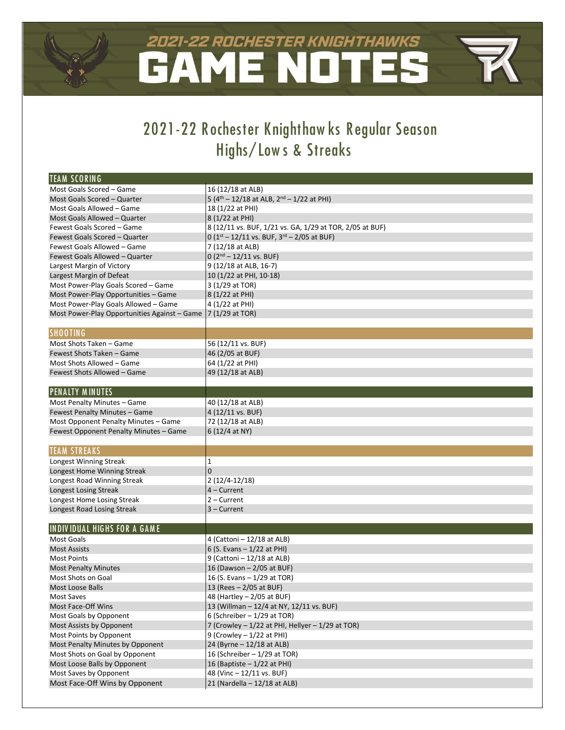## 2021-22 ROCHESTER KNIGHTHAWKS **NOT** AME r.

# **2021-22 R ochester Knighthaw ks R egular Season Highs/ Low s & Streaks**

| ITEAM SCORING                                |                                                          |
|----------------------------------------------|----------------------------------------------------------|
| Most Goals Scored - Game                     | 16 (12/18 at ALB)                                        |
| Most Goals Scored - Quarter                  | 5 ( $4th - 12/18$ at ALB, $2nd - 1/22$ at PHI)           |
| Most Goals Allowed – Game                    | 18 (1/22 at PHI)                                         |
| Most Goals Allowed - Quarter                 | 8 (1/22 at PHI)                                          |
| Fewest Goals Scored - Game                   | 8 (12/11 vs. BUF, 1/21 vs. GA, 1/29 at TOR, 2/05 at BUF) |
| Fewest Goals Scored - Quarter                | 0 ( $1st - 12/11$ vs. BUF, $3rd - 2/05$ at BUF)          |
| Fewest Goals Allowed - Game                  | 7 (12/18 at ALB)                                         |
| Fewest Goals Allowed - Quarter               | $0(2nd – 12/11$ vs. BUF)                                 |
| Largest Margin of Victory                    | 9 (12/18 at ALB, 16-7)                                   |
| Largest Margin of Defeat                     | 10 (1/22 at PHI, 10-18)                                  |
| Most Power-Play Goals Scored - Game          | 3 (1/29 at TOR)                                          |
| Most Power-Play Opportunities - Game         | 8 (1/22 at PHI)                                          |
| Most Power-Play Goals Allowed - Game         | 4 (1/22 at PHI)                                          |
| Most Power-Play Opportunities Against - Game | 7 (1/29 at TOR)                                          |
|                                              |                                                          |
| <b>SHOOTING</b>                              |                                                          |
| Most Shots Taken - Game                      | 56 (12/11 vs. BUF)                                       |
| Fewest Shots Taken - Game                    | 46 (2/05 at BUF)                                         |
| Most Shots Allowed - Game                    | 64 (1/22 at PHI)                                         |
| Fewest Shots Allowed - Game                  | 49 (12/18 at ALB)                                        |
|                                              |                                                          |
| <b>PENALTY MINUTES</b>                       |                                                          |
| Most Penalty Minutes - Game                  | 40 (12/18 at ALB)                                        |
| Fewest Penalty Minutes - Game                | 4 (12/11 vs. BUF)                                        |
| Most Opponent Penalty Minutes - Game         | 72 (12/18 at ALB)                                        |
| Fewest Opponent Penalty Minutes - Game       | 6 (12/4 at NY)                                           |
|                                              |                                                          |
| <b>TEAM STREAKS</b>                          |                                                          |
| Longest Winning Streak                       | 1                                                        |
| Longest Home Winning Streak                  | 0                                                        |
| Longest Road Winning Streak                  | $2(12/4-12/18)$                                          |
| Longest Losing Streak                        | 4 – Current                                              |
| Longest Home Losing Streak                   | 2 – Current                                              |
| Longest Road Losing Streak                   | 3 – Current                                              |
|                                              |                                                          |
| <b>INDIVIDUAL HIGHS FOR A GAME</b>           |                                                          |
| <b>Most Goals</b>                            | 4 (Cattoni - 12/18 at ALB)                               |
| <b>Most Assists</b>                          | 6 (S. Evans $-1/22$ at PHI)                              |
| <b>Most Points</b>                           | 9 (Cattoni - 12/18 at ALB)                               |
| <b>Most Penalty Minutes</b>                  | 16 (Dawson - 2/05 at BUF)                                |
| Most Shots on Goal                           | 16 (S. Evans - 1/29 at TOR)                              |
| Most Loose Balls                             | 13 (Rees - 2/05 at BUF)                                  |
| Most Saves                                   | 48 (Hartley - 2/05 at BUF)                               |
| Most Face-Off Wins                           | 13 (Willman - 12/4 at NY, 12/11 vs. BUF)                 |
| Most Goals by Opponent                       | 6 (Schreiber $-1/29$ at TOR)                             |
| Most Assists by Opponent                     | 7 (Crowley - 1/22 at PHI, Hellyer - 1/29 at TOR)         |
| Most Points by Opponent                      | 9 (Crowley $-1/22$ at PHI)                               |
| Most Penalty Minutes by Opponent             | 24 (Byrne - 12/18 at ALB)                                |
| Most Shots on Goal by Opponent               | 16 (Schreiber - 1/29 at TOR)                             |
| Most Loose Balls by Opponent                 | 16 (Baptiste $-1/22$ at PHI)                             |
| Most Saves by Opponent                       | 48 (Vinc - 12/11 vs. BUF)                                |
| Most Face-Off Wins by Opponent               | 21 (Nardella - 12/18 at ALB)                             |
|                                              |                                                          |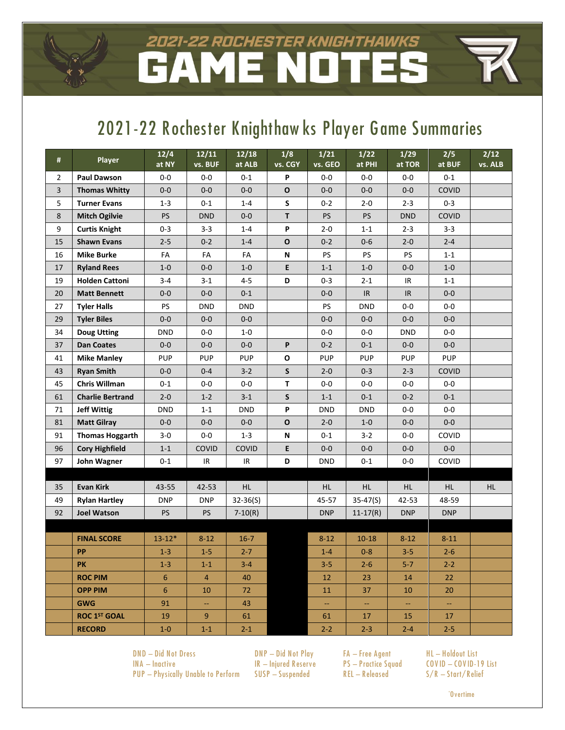## 2021-22 ROCHESTER KNIGHTHAWKS NOT ME.  $\Delta$

# **2021-22 R ochester Knighthaw ks Player Game Summaries**

| #                       | <b>Player</b>            | 12/4<br>at NY | 12/11<br>vs. BUF | 12/18<br>at ALB | 1/8<br>vs. CGY | 1/21<br>vs. GEO | $1/22$<br>at PHI | 1/29<br>at TOR | 2/5<br>at BUF | 2/12<br>vs. ALB |
|-------------------------|--------------------------|---------------|------------------|-----------------|----------------|-----------------|------------------|----------------|---------------|-----------------|
| $\overline{2}$          | <b>Paul Dawson</b>       | $0-0$         | $0-0$            | 0-1             | P              | $0-0$           | $0-0$            | $0-0$          | 0-1           |                 |
| $\overline{\mathbf{3}}$ | <b>Thomas Whitty</b>     | $0-0$         | $0-0$            | $0-0$           | $\mathbf{o}$   | $0-0$           | $0-0$            | $0-0$          | COVID         |                 |
| 5                       | <b>Turner Evans</b>      | $1 - 3$       | $0 - 1$          | $1 - 4$         | $\mathsf S$    | $0 - 2$         | $2 - 0$          | $2 - 3$        | $0 - 3$       |                 |
| 8                       | <b>Mitch Ogilvie</b>     | PS            | <b>DND</b>       | $0-0$           | T.             | <b>PS</b>       | PS               | <b>DND</b>     | COVID         |                 |
| 9                       | <b>Curtis Knight</b>     | $0 - 3$       | $3 - 3$          | $1 - 4$         | P              | $2 - 0$         | $1 - 1$          | $2 - 3$        | $3 - 3$       |                 |
| 15                      | <b>Shawn Evans</b>       | $2 - 5$       | $0 - 2$          | $1 - 4$         | $\mathbf{o}$   | $0 - 2$         | $0-6$            | $2 - 0$        | $2 - 4$       |                 |
| 16                      | <b>Mike Burke</b>        | FA            | FA               | FA              | N              | PS              | PS               | <b>PS</b>      | $1 - 1$       |                 |
| 17                      | <b>Ryland Rees</b>       | $1-0$         | $0-0$            | $1-0$           | E              | $1 - 1$         | $1-0$            | $0-0$          | $1 - 0$       |                 |
| 19                      | <b>Holden Cattoni</b>    | $3 - 4$       | $3 - 1$          | $4 - 5$         | D              | $0 - 3$         | $2 - 1$          | IR             | $1 - 1$       |                 |
| 20                      | <b>Matt Bennett</b>      | $0-0$         | $0-0$            | $0 - 1$         |                | $0-0$           | IR.              | IR.            | $0-0$         |                 |
| 27                      | <b>Tyler Halls</b>       | <b>PS</b>     | <b>DND</b>       | <b>DND</b>      |                | PS              | <b>DND</b>       | $0-0$          | $0-0$         |                 |
| 29                      | <b>Tyler Biles</b>       | $0-0$         | $0-0$            | $0-0$           |                | $0-0$           | $0-0$            | $0-0$          | $0-0$         |                 |
| 34                      | <b>Doug Utting</b>       | DND           | $0-0$            | 1-0             |                | $0-0$           | $0-0$            | <b>DND</b>     | $0-0$         |                 |
| 37                      | <b>Dan Coates</b>        | $0-0$         | $0-0$            | $0-0$           | P              | $0 - 2$         | $0 - 1$          | $0-0$          | $0-0$         |                 |
| 41                      | <b>Mike Manley</b>       | <b>PUP</b>    | <b>PUP</b>       | <b>PUP</b>      | $\mathbf{o}$   | <b>PUP</b>      | <b>PUP</b>       | <b>PUP</b>     | <b>PUP</b>    |                 |
| 43                      | <b>Ryan Smith</b>        | $0-0$         | $0 - 4$          | $3 - 2$         | S              | $2 - 0$         | $0 - 3$          | $2 - 3$        | COVID         |                 |
| 45                      | <b>Chris Willman</b>     | $0 - 1$       | $0-0$            | $0-0$           | T              | $0-0$           | $0-0$            | $0-0$          | $0-0$         |                 |
| 61                      | <b>Charlie Bertrand</b>  | $2 - 0$       | $1 - 2$          | $3 - 1$         | S              | $1 - 1$         | $0 - 1$          | $0 - 2$        | $0 - 1$       |                 |
| 71                      | <b>Jeff Wittig</b>       | <b>DND</b>    | $1 - 1$          | <b>DND</b>      | P              | <b>DND</b>      | <b>DND</b>       | $0-0$          | $0-0$         |                 |
| 81                      | <b>Matt Gilray</b>       | $0-0$         | $0-0$            | $0-0$           | $\mathbf{o}$   | $2 - 0$         | $1-0$            | $0-0$          | $0-0$         |                 |
| 91                      | <b>Thomas Hoggarth</b>   | $3-0$         | $0-0$            | $1 - 3$         | N              | $0 - 1$         | $3 - 2$          | $0-0$          | COVID         |                 |
| 96                      | <b>Cory Highfield</b>    | $1 - 1$       | COVID            | COVID           | E              | $0-0$           | $0-0$            | $0-0$          | $0-0$         |                 |
| 97                      | John Wagner              | $0 - 1$       | IR               | IR              | D              | <b>DND</b>      | $0 - 1$          | $0-0$          | COVID         |                 |
|                         |                          |               |                  |                 |                |                 |                  |                |               |                 |
| 35                      | <b>Evan Kirk</b>         | 43-55         | 42-53            | HL.             |                | HL.             | HL.              | HL.            | HL.           | HL              |
| 49                      | <b>Rylan Hartley</b>     | <b>DNP</b>    | <b>DNP</b>       | $32 - 36(5)$    |                | 45-57           | $35 - 47(S)$     | 42-53          | 48-59         |                 |
| 92                      | <b>Joel Watson</b>       | PS            | <b>PS</b>        | $7-10(R)$       |                | <b>DNP</b>      | $11-17(R)$       | <b>DNP</b>     | <b>DNP</b>    |                 |
|                         |                          |               |                  |                 |                |                 |                  |                |               |                 |
|                         | <b>FINAL SCORE</b>       | $13 - 12*$    | $8 - 12$         | $16 - 7$        |                | $8 - 12$        | $10 - 18$        | $8 - 12$       | $8 - 11$      |                 |
|                         | <b>PP</b>                | $1 - 3$       | $1-5$            | $2 - 7$         |                | $1 - 4$         | $0 - 8$          | $3 - 5$        | $2 - 6$       |                 |
|                         | <b>PK</b>                | $1 - 3$       | $1 - 1$          | $3 - 4$         |                | $3 - 5$         | $2 - 6$          | $5 - 7$        | $2 - 2$       |                 |
|                         | <b>ROC PIM</b>           | 6             | $\overline{4}$   | 40              |                | 12              | 23               | 14             | 22            |                 |
|                         | <b>OPP PIM</b>           | 6             | 10               | 72              |                | 11              | 37               | 10             | 20            |                 |
|                         | <b>GWG</b>               | 91            | ₩.               | 43              |                | 4               | 44               | ₩.             | ₩.            |                 |
|                         | ROC 1 <sup>ST</sup> GOAL | 19            | 9                | 61              |                | 61              | 17               | 15             | 17            |                 |
|                         | <b>RECORD</b>            | $1-0$         | $1-1$            | $2 - 1$         |                | $2 - 2$         | $2 - 3$          | $2 - 4$        | $2 - 5$       |                 |

**DND – Did Not Dress DNP – Did Not P lay FA – Free A gent HL – Holdout List INA – Inactive IR – Injured R eserve P S – P ractice Squad CO V ID – CO V ID-19 List P UP – Physically Unable to P erform SUSP – Suspended R EL – R eleased S/ R – Start/ R elief**

**\* O vertime**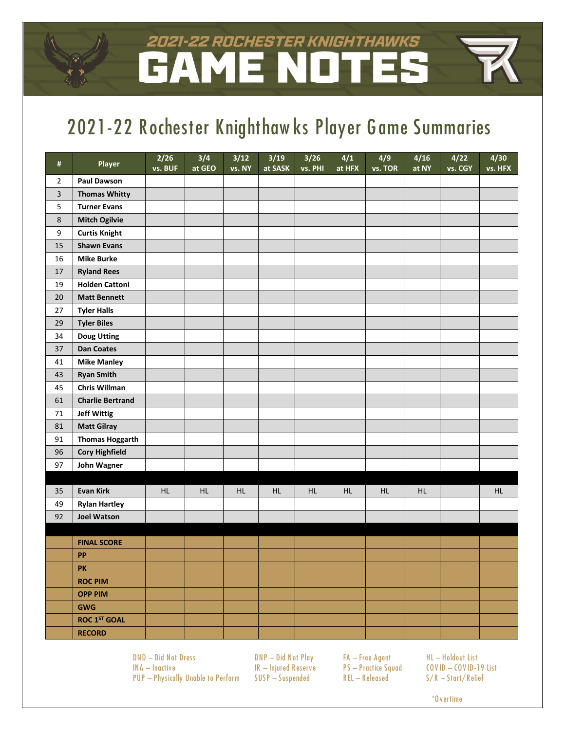## 2021–22 ROCHESTER KNIGHTHAWKS ME NOT  $\Delta$

# **2021-22 R ochester Knighthaw ks Player Game Summaries**

| $\#$                    | Player                  | 2/26<br>vs. BUF | 3/4<br>at GEO | 3/12<br>vs. NY | 3/19<br>at SASK | $\frac{3}{26}$<br>vs. PHI | 4/1<br>at HFX | 4/9<br>vs. TOR | 4/16<br>at NY | 4/22<br>vs. CGY | 4/30<br>vs. HFX |
|-------------------------|-------------------------|-----------------|---------------|----------------|-----------------|---------------------------|---------------|----------------|---------------|-----------------|-----------------|
| $\overline{2}$          | <b>Paul Dawson</b>      |                 |               |                |                 |                           |               |                |               |                 |                 |
| $\overline{\mathbf{3}}$ | <b>Thomas Whitty</b>    |                 |               |                |                 |                           |               |                |               |                 |                 |
| 5                       | <b>Turner Evans</b>     |                 |               |                |                 |                           |               |                |               |                 |                 |
| $\,8\,$                 | <b>Mitch Ogilvie</b>    |                 |               |                |                 |                           |               |                |               |                 |                 |
| 9                       | <b>Curtis Knight</b>    |                 |               |                |                 |                           |               |                |               |                 |                 |
| 15                      | <b>Shawn Evans</b>      |                 |               |                |                 |                           |               |                |               |                 |                 |
| 16                      | <b>Mike Burke</b>       |                 |               |                |                 |                           |               |                |               |                 |                 |
| $17\,$                  | <b>Ryland Rees</b>      |                 |               |                |                 |                           |               |                |               |                 |                 |
| 19                      | <b>Holden Cattoni</b>   |                 |               |                |                 |                           |               |                |               |                 |                 |
| 20                      | <b>Matt Bennett</b>     |                 |               |                |                 |                           |               |                |               |                 |                 |
| 27                      | <b>Tyler Halls</b>      |                 |               |                |                 |                           |               |                |               |                 |                 |
| 29                      | <b>Tyler Biles</b>      |                 |               |                |                 |                           |               |                |               |                 |                 |
| 34                      | <b>Doug Utting</b>      |                 |               |                |                 |                           |               |                |               |                 |                 |
| 37                      | <b>Dan Coates</b>       |                 |               |                |                 |                           |               |                |               |                 |                 |
| 41                      | <b>Mike Manley</b>      |                 |               |                |                 |                           |               |                |               |                 |                 |
| 43                      | <b>Ryan Smith</b>       |                 |               |                |                 |                           |               |                |               |                 |                 |
| 45                      | Chris Willman           |                 |               |                |                 |                           |               |                |               |                 |                 |
| 61                      | <b>Charlie Bertrand</b> |                 |               |                |                 |                           |               |                |               |                 |                 |
| $71\,$                  | <b>Jeff Wittig</b>      |                 |               |                |                 |                           |               |                |               |                 |                 |
| 81                      | <b>Matt Gilray</b>      |                 |               |                |                 |                           |               |                |               |                 |                 |
| 91                      | <b>Thomas Hoggarth</b>  |                 |               |                |                 |                           |               |                |               |                 |                 |
| 96                      | <b>Cory Highfield</b>   |                 |               |                |                 |                           |               |                |               |                 |                 |
| 97                      | John Wagner             |                 |               |                |                 |                           |               |                |               |                 |                 |
|                         |                         |                 |               |                |                 |                           |               |                |               |                 |                 |
| 35                      | <b>Evan Kirk</b>        | <b>HL</b>       | HL.           | HL             | <b>HL</b>       | HL                        | <b>HL</b>     | <b>HL</b>      | <b>HL</b>     |                 | <b>HL</b>       |
| 49                      | <b>Rylan Hartley</b>    |                 |               |                |                 |                           |               |                |               |                 |                 |
| 92                      | <b>Joel Watson</b>      |                 |               |                |                 |                           |               |                |               |                 |                 |
|                         |                         |                 |               |                |                 |                           |               |                |               |                 |                 |
|                         | <b>FINAL SCORE</b>      |                 |               |                |                 |                           |               |                |               |                 |                 |
|                         | PP                      |                 |               |                |                 |                           |               |                |               |                 |                 |
|                         | <b>PK</b>               |                 |               |                |                 |                           |               |                |               |                 |                 |
|                         | <b>ROC PIM</b>          |                 |               |                |                 |                           |               |                |               |                 |                 |
|                         | <b>OPP PIM</b>          |                 |               |                |                 |                           |               |                |               |                 |                 |
|                         | <b>GWG</b>              |                 |               |                |                 |                           |               |                |               |                 |                 |
|                         | <b>ROC 1ST GOAL</b>     |                 |               |                |                 |                           |               |                |               |                 |                 |
|                         | <b>RECORD</b>           |                 |               |                |                 |                           |               |                |               |                 |                 |

**DND – Did Not Dress DNP – Did Not P lay FA – Free A gent HL – Holdout List INA – Inactive IR – Injured R eserve P S – P ractice Squad CO V ID – CO V ID-19 List P UP – Physically Unable to P erform SUSP – Suspended R EL – R eleased S/ R – Start/ R elief**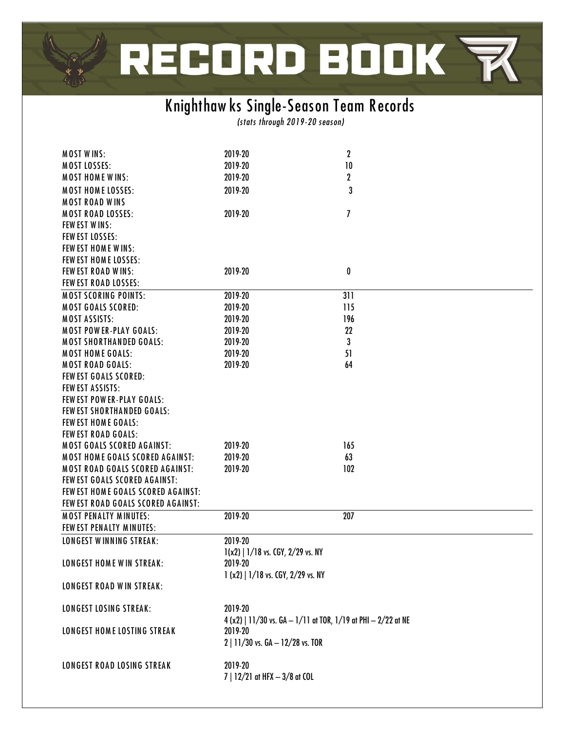# RECORD BOOK マ

# **Knighthaw ks Single-Season Team R ecords**

*(stats through 2019-20 season)*

| <b>MOST WINS:</b>                      | 2019-20                                  | $\mathbf 2$                                                     |  |
|----------------------------------------|------------------------------------------|-----------------------------------------------------------------|--|
| <b>MOST LOSSES:</b>                    | 2019-20                                  | 10                                                              |  |
| <b>MOST HOME WINS:</b>                 | 2019-20                                  | $\mathbf{2}$                                                    |  |
| <b>MOST HOME LOSSES:</b>               | 2019-20                                  | 3                                                               |  |
|                                        |                                          |                                                                 |  |
| <b>MOST ROAD WINS</b>                  |                                          |                                                                 |  |
| <b>MOST ROAD LOSSES:</b>               | 2019-20                                  | 7                                                               |  |
| <b>FEW EST WINS:</b>                   |                                          |                                                                 |  |
| <b>FEW EST LOSSES:</b>                 |                                          |                                                                 |  |
| FEW EST HOME WINS:                     |                                          |                                                                 |  |
| FEW EST HOME LOSSES:                   |                                          |                                                                 |  |
| <b>FEW EST ROAD WINS:</b>              | 2019-20                                  | 0                                                               |  |
| <b>FEW EST ROAD LOSSES:</b>            |                                          |                                                                 |  |
| <b>MOST SCORING POINTS:</b>            | 2019-20                                  | 311                                                             |  |
| <b>MOST GOALS SCORED:</b>              | 2019-20                                  | 115                                                             |  |
| <b>MOST ASSISTS:</b>                   | 2019-20                                  | 196                                                             |  |
| <b>MOST POWER-PLAY GOALS:</b>          |                                          |                                                                 |  |
|                                        | 2019-20                                  | 22                                                              |  |
| <b>MOST SHORTHANDED GOALS:</b>         | 2019-20                                  | 3                                                               |  |
| <b>MOST HOME GOALS:</b>                | 2019-20                                  | 51                                                              |  |
| <b>MOST ROAD GOALS:</b>                | 2019-20                                  | 64                                                              |  |
| FEW EST GOALS SCORED:                  |                                          |                                                                 |  |
| <b>FEW EST ASSISTS:</b>                |                                          |                                                                 |  |
| <b>FEW EST POWER-PLAY GOALS:</b>       |                                          |                                                                 |  |
| <b>FEW EST SHORTHANDED GOALS:</b>      |                                          |                                                                 |  |
| <b>FEW EST HOME GOALS:</b>             |                                          |                                                                 |  |
| <b>FEW EST ROAD GOALS:</b>             |                                          |                                                                 |  |
| <b>MOST GOALS SCORED AGAINST:</b>      | 2019-20                                  | 165                                                             |  |
| <b>MOST HOME GOALS SCORED AGAINST:</b> | 2019-20                                  | 63                                                              |  |
| <b>MOST ROAD GOALS SCORED AGAINST:</b> | 2019-20                                  | 102                                                             |  |
| FEW EST GOALS SCORED AGAINST:          |                                          |                                                                 |  |
| FEW EST HOME GOALS SCORED AGAINST:     |                                          |                                                                 |  |
|                                        |                                          |                                                                 |  |
| FEW EST ROAD GOALS SCORED AGAINST:     |                                          |                                                                 |  |
| <b>MOST PENALTY MINUTES:</b>           | 2019-20                                  | 207                                                             |  |
| FEW EST PENALTY MINUTES:               |                                          |                                                                 |  |
| <b>LONGEST WINNING STREAK:</b>         | 2019-20                                  |                                                                 |  |
|                                        | $1(x2)$   $1/18$ vs. CGY, $2/29$ vs. NY  |                                                                 |  |
| <b>LONGEST HOME WIN STREAK:</b>        | 2019-20                                  |                                                                 |  |
|                                        | $1 (x2)$   $1/18$ vs. CGY, $2/29$ vs. NY |                                                                 |  |
| <b>LONGEST ROAD WIN STREAK:</b>        |                                          |                                                                 |  |
|                                        |                                          |                                                                 |  |
| <b>LONGEST LOSING STREAK:</b>          | 2019-20                                  |                                                                 |  |
|                                        |                                          | $4 (x2)$   11/30 vs. GA - 1/11 at TOR, 1/19 at PHI - 2/22 at NE |  |
| LONGEST HOME LOSTING STREAK            | 2019-20                                  |                                                                 |  |
|                                        | 2   11/30 vs. GA - 12/28 vs. TOR         |                                                                 |  |
|                                        |                                          |                                                                 |  |
|                                        |                                          |                                                                 |  |
| LONGEST ROAD LOSING STREAK             | 2019-20                                  |                                                                 |  |
|                                        | 7   12/21 at HFX - 3/8 at COL            |                                                                 |  |
|                                        |                                          |                                                                 |  |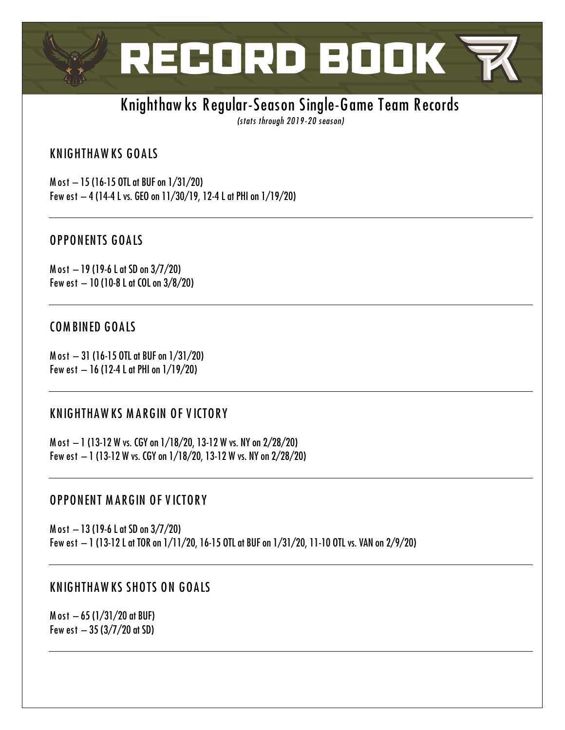

## Knighthaw ks Regular-Season Single-Game Team Records

(stats through 2019-20 season)

## **KNIGHTHAWKS GOALS**

M ost - 15 (16-15 OTL at BUF on 1/31/20) Few est - 4 (14-4 L vs. GEO on 11/30/19, 12-4 L at PHI on 1/19/20)

## **OPPONENTS GOALS**

M ost  $-19$  (19-6 L at SD on  $3/7/20$ ) Few est  $-10$  (10-8 L at COL on  $3/8/20$ )

## **COMBINED GOALS**

Most - 31 (16-15 OTL at BUF on 1/31/20) Few est  $-16$  (12-4 L at PHI on  $1/19/20$ )

## **KNIGHTHAWKS MARGIN OF VICTORY**

M ost - 1 (13-12 W vs. CGY on 1/18/20, 13-12 W vs. NY on 2/28/20) Few est - 1 (13-12 W vs. CGY on 1/18/20, 13-12 W vs. NY on 2/28/20)

## **OPPONENT MARGIN OF VICTORY**

M ost  $-13$  (19-6 L at SD on  $3/7/20$ ) Few est - 1 (13-12 L at TOR on 1/11/20, 16-15 OTL at BUF on 1/31/20, 11-10 OTL vs. VAN on 2/9/20)

## **KNIGHTHAWKS SHOTS ON GOALS**

M ost  $-65$  (1/31/20 at BUF) Few est  $-35(3/7/20$  at SD)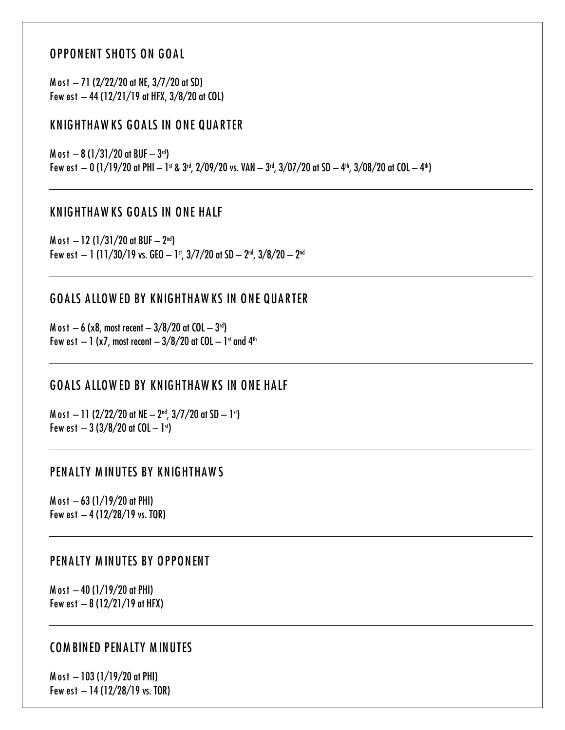## **OPPONENT SHOTS ON GOAL**

M ost - 71 (2/22/20 at NE, 3/7/20 at SD) Few est  $-44$  (12/21/19 at HFX, 3/8/20 at COL)

## **KNIGHTHAWKS GOALS IN ONE QUARTER**

M ost  $-8(1/31/20$  at BUF  $-3^{rd}$ ) Few est  $-$  0 (1/19/20 at PHI  $-$  1st & 3rd, 2/09/20 vs. VAN  $-$  3rd, 3/07/20 at SD  $-$  4th, 3/08/20 at COL  $-$  4th)

### **KNIGHTHAWKS GOALS IN ONE HALF**

M ost  $-12$  (1/31/20 at BUF  $-2^{nd}$ ) Few est - 1 (11/30/19 vs. GEO - 1st, 3/7/20 at SD -  $2<sup>nd</sup>$ , 3/8/20 -  $2<sup>nd</sup>$ 

## **GOALS ALLOWED BY KNIGHTHAWKS IN ONE QUARTER**

M ost  $-6$  (x8, most recent  $-3/8/20$  at COL  $-3^{rd}$ ) Few est  $-1$  (x7, most recent  $-3/8/20$  at COL  $-1$ <sup>st</sup> and  $4$ <sup>th</sup>

## **GOALS ALLOWED BY KNIGHTHAWKS IN ONE HALF**

M ost  $-11$  (2/22/20 at NE  $-2^{nd}$ , 3/7/20 at SD  $-1^{st}$ ) Few est  $-3(3/8/20$  at COL  $-1$ <sup>st</sup>)

### PENALTY MINUTES BY KNIGHTHAWS

M ost  $-63$  (1/19/20 at PHI) Few est  $-4(12/28/19)$  vs. TOR)

### PENALTY MINUTES BY OPPONENT

M ost  $-40$  (1/19/20 at PHI) Few est  $-8(12/21/19$  at HFX)

### **COMBINED PENALTY MINUTES**

M ost  $-103$  (1/19/20 at PHI) Few est  $-14(12/28/19)$  vs. TOR)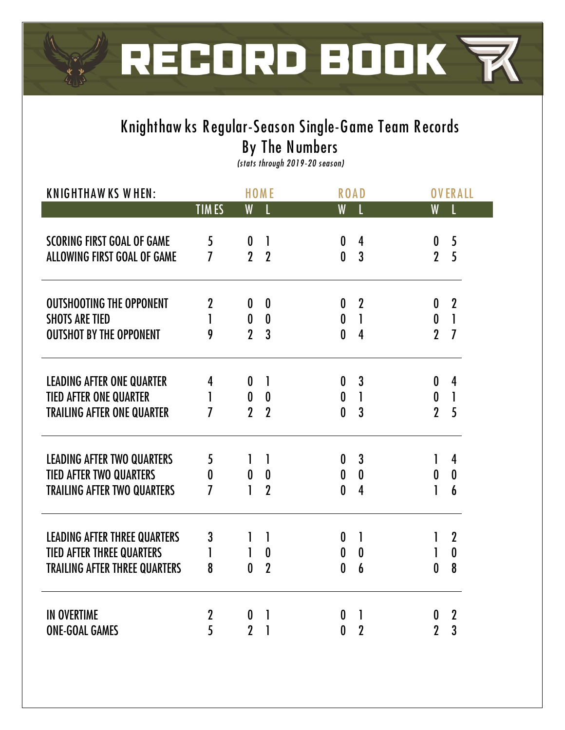

# **Knighthaw ks R egular-Season Single-Game Team R ecords By The Numbers**

*(stats through 2019 -20 season)*

| <b>KNIGHTHAWKS WHEN:</b>             |                  |                  | <b>HOME</b>      |                  | <b>ROAD</b>      |                  | <b>OVERALL</b>   |
|--------------------------------------|------------------|------------------|------------------|------------------|------------------|------------------|------------------|
|                                      | <b>TIMES</b>     | W                | L                | W                |                  | W                |                  |
| <b>SCORING FIRST GOAL OF GAME</b>    | 5                | $\boldsymbol{0}$ | $\mathbf{I}$     | $\boldsymbol{0}$ | 4                | $\boldsymbol{0}$ | 5                |
| <b>ALLOWING FIRST GOAL OF GAME</b>   | 7                | $\overline{2}$   | $\overline{2}$   | $\mathbf{0}$     | $\overline{3}$   | $\mathbf{2}$     | 5                |
| <b>OUTSHOOTING THE OPPONENT</b>      | $\boldsymbol{2}$ | 0                | $\boldsymbol{0}$ | $\boldsymbol{0}$ | $\boldsymbol{2}$ | 0                | $\boldsymbol{2}$ |
| <b>SHOTS ARE TIED</b>                | 1                | $\boldsymbol{0}$ | $\boldsymbol{0}$ | $\boldsymbol{0}$ | $\mathbf{I}$     | $\mathbf 0$      | $\mathbf{I}$     |
| <b>OUTSHOT BY THE OPPONENT</b>       | 9                | $\overline{2}$   | 3                | $\mathbf{0}$     | 4                | $\overline{2}$   | $\overline{I}$   |
| <b>LEADING AFTER ONE QUARTER</b>     | 4                | 0                | 1                | $\boldsymbol{0}$ | 3                | 0                | 4                |
| <b>TIED AFTER ONE QUARTER</b>        | 1                | $\boldsymbol{0}$ | $\boldsymbol{0}$ | $\boldsymbol{0}$ | $\mathbf{I}$     | $\boldsymbol{0}$ | $\mathbf{I}$     |
| <b>TRAILING AFTER ONE QUARTER</b>    | $\overline{I}$   | $\overline{2}$   | $\overline{2}$   | $\mathbf{0}$     | $\overline{3}$   | $\mathbf{2}$     | 5                |
| <b>LEADING AFTER TWO QUARTERS</b>    | 5                | 1                | $\mathbf{I}$     | $\boldsymbol{0}$ | $\mathbf{3}$     | 1                | $\overline{4}$   |
| <b>TIED AFTER TWO QUARTERS</b>       | $\boldsymbol{0}$ | $\boldsymbol{0}$ | $\boldsymbol{0}$ | $\boldsymbol{0}$ | $\boldsymbol{0}$ | $\boldsymbol{0}$ | $\boldsymbol{0}$ |
| <b>TRAILING AFTER TWO QUARTERS</b>   | 7                |                  | $\overline{2}$   | $\mathbf{0}$     | 4                | l                | 6                |
| <b>LEADING AFTER THREE QUARTERS</b>  | $\mathbf{3}$     | 1                | 1                | $\boldsymbol{0}$ | 1                | 1                | $\boldsymbol{2}$ |
| <b>TIED AFTER THREE QUARTERS</b>     | 1                | 1                | $\boldsymbol{0}$ | $\boldsymbol{0}$ | $\boldsymbol{0}$ | 1                | $\boldsymbol{0}$ |
| <b>TRAILING AFTER THREE QUARTERS</b> | 8                | $\mathbf{0}$     | $\overline{2}$   | $\mathbf{0}$     | 6                | $\boldsymbol{0}$ | 8                |
| <b>IN OVERTIME</b>                   | $\boldsymbol{2}$ | $\boldsymbol{0}$ | 1                | $\boldsymbol{0}$ | 1                | $\boldsymbol{0}$ | $\boldsymbol{2}$ |
| <b>ONE-GOAL GAMES</b>                | 5                | $\overline{2}$   | 1                | $\mathbf{0}$     | $\overline{2}$   | $\overline{2}$   | 3                |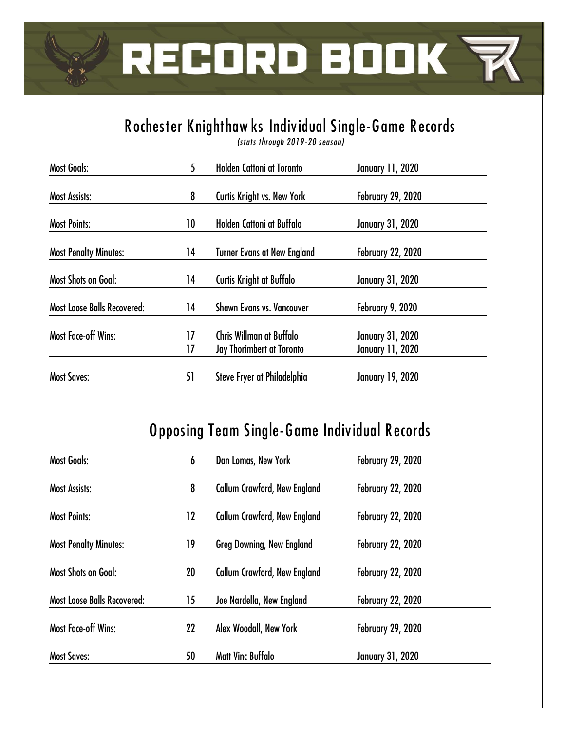

# **R ochester Knighthaw ks Individual Single-Game R ecords**

*(stats through 2019 -20 season)*

| <b>Most Goals:</b>                 | 5  | <b>Holden Cattoni at Toronto</b>   | <b>January 11, 2020</b>  |
|------------------------------------|----|------------------------------------|--------------------------|
| <b>Most Assists:</b>               | 8  | Curtis Knight vs. New York         | <b>February 29, 2020</b> |
| <b>Most Points:</b>                | 10 | Holden Cattoni at Buffalo          | <b>January 31, 2020</b>  |
| <b>Most Penalty Minutes:</b>       | 14 | <b>Turner Evans at New England</b> | <b>February 22, 2020</b> |
| <b>Most Shots on Goal:</b>         | 14 | <b>Curtis Knight at Buffalo</b>    | <b>January 31, 2020</b>  |
| <b>Most Loose Balls Recovered:</b> | 14 | <b>Shawn Evans vs. Vancouver</b>   | February 9, 2020         |
| <b>Most Face-off Wins:</b>         | 17 | Chris Willman at Buffalo           | <b>January 31, 2020</b>  |
|                                    | 17 | Jay Thorimbert at Toronto          | <b>January 11, 2020</b>  |
| <b>Most Saves:</b>                 | 51 | Steve Fryer at Philadelphia        | <b>January 19, 2020</b>  |

## **O pposing Team Single-Game Individual R ecords**

| <b>Most Goals:</b>                 | 6  | Dan Lomas, New York                 | <b>February 29, 2020</b> |  |
|------------------------------------|----|-------------------------------------|--------------------------|--|
| <b>Most Assists:</b>               | 8  | <b>Callum Crawford, New England</b> | <b>February 22, 2020</b> |  |
| <b>Most Points:</b>                | 12 | <b>Callum Crawford, New England</b> | <b>February 22, 2020</b> |  |
| <b>Most Penalty Minutes:</b>       | 19 | <b>Greg Downing, New England</b>    | <b>February 22, 2020</b> |  |
| <b>Most Shots on Goal:</b>         | 20 | <b>Callum Crawford, New England</b> | <b>February 22, 2020</b> |  |
| <b>Most Loose Balls Recovered:</b> | 15 | Joe Nardella, New England           | <b>February 22, 2020</b> |  |
| <b>Most Face-off Wins:</b>         | 22 | Alex Woodall, New York              | <b>February 29, 2020</b> |  |
| <b>Most Saves:</b>                 | 50 | <b>Matt Vinc Buffalo</b>            | <b>January 31, 2020</b>  |  |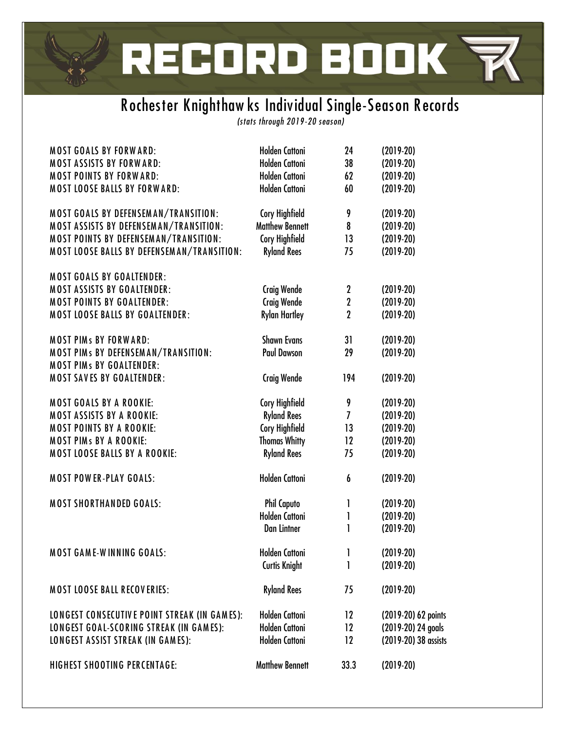# RECORD BOOK **R**

# **R ochester Knighthaw ks Individual Single-Season R ecords**

*(stats through 2019 -20 season)*

| <b>MOST GOALS BY FORWARD:</b>                | <b>Holden Cattoni</b>  | 24               | $(2019-20)$          |
|----------------------------------------------|------------------------|------------------|----------------------|
| <b>MOST ASSISTS BY FORWARD:</b>              | <b>Holden Cattoni</b>  | 38               | $(2019-20)$          |
| <b>MOST POINTS BY FORWARD:</b>               | <b>Holden Cattoni</b>  | 62               | $(2019-20)$          |
| <b>MOST LOOSE BALLS BY FORWARD:</b>          | <b>Holden Cattoni</b>  | 60               | $(2019-20)$          |
| MOST GOALS BY DEFENSEMAN/TRANSITION:         | <b>Cory Highfield</b>  | 9                | $(2019-20)$          |
| MOST ASSISTS BY DEFENSEMAN/TRANSITION:       | <b>Matthew Bennett</b> | 8                | $(2019-20)$          |
| MOST POINTS BY DEFENSEMAN/TRANSITION:        | <b>Cory Highfield</b>  | 13               | $(2019-20)$          |
| MOST LOOSE BALLS BY DEFENSEMAN/TRANSITION:   | <b>Ryland Rees</b>     | 75               | $(2019-20)$          |
| <b>MOST GOALS BY GOALTENDER:</b>             |                        |                  |                      |
| <b>MOST ASSISTS BY GOALTENDER:</b>           | <b>Craig Wende</b>     | $\mathbf 2$      | $(2019-20)$          |
| <b>MOST POINTS BY GOALTENDER:</b>            | <b>Craig Wende</b>     | $\boldsymbol{2}$ | $(2019-20)$          |
| <b>MOST LOOSE BALLS BY GOALTENDER:</b>       | <b>Rylan Hartley</b>   | $\mathbf 2$      | $(2019-20)$          |
| <b>MOST PIMs BY FORWARD:</b>                 | <b>Shawn Evans</b>     | 31               | $(2019-20)$          |
| MOST PIMs BY DEFENSEMAN/TRANSITION:          | <b>Paul Dawson</b>     | 29               | $(2019-20)$          |
| <b>MOST PIMS BY GOALTENDER:</b>              |                        |                  |                      |
| <b>MOST SAVES BY GOALTENDER:</b>             | <b>Craig Wende</b>     | 194              | $(2019-20)$          |
| <b>MOST GOALS BY A ROOKIE:</b>               | <b>Cory Highfield</b>  | 9                | $(2019-20)$          |
| <b>MOST ASSISTS BY A ROOKIE:</b>             | <b>Ryland Rees</b>     | $\overline{I}$   | $(2019-20)$          |
| <b>MOST POINTS BY A ROOKIE:</b>              | <b>Cory Highfield</b>  | 13               | $(2019-20)$          |
| <b>MOST PIMs BY A ROOKIE:</b>                | <b>Thomas Whitty</b>   | 12               | $(2019-20)$          |
| <b>MOST LOOSE BALLS BY A ROOKIE:</b>         | <b>Ryland Rees</b>     | 75               | $(2019-20)$          |
|                                              |                        |                  |                      |
| <b>MOST POWER-PLAY GOALS:</b>                | <b>Holden Cattoni</b>  | 6                | $(2019-20)$          |
| <b>MOST SHORTHANDED GOALS:</b>               | <b>Phil Caputo</b>     | 1                | $(2019-20)$          |
|                                              | <b>Holden Cattoni</b>  | 1                | $(2019-20)$          |
|                                              | <b>Dan Lintner</b>     | 1                | $(2019-20)$          |
| <b>MOST GAME-WINNING GOALS:</b>              | Holden Cattoni         | 1                | $(2019-20)$          |
|                                              | <b>Curtis Knight</b>   | $\mathbf{I}$     | $(2019-20)$          |
| <b>MOST LOOSE BALL RECOVERIES:</b>           | <b>Ryland Rees</b>     | 75               | $(2019-20)$          |
| LONGEST CONSECUTIVE POINT STREAK (IN GAMES): | <b>Holden Cattoni</b>  | 12               | (2019-20) 62 points  |
| LONGEST GOAL-SCORING STREAK (IN GAMES):      | <b>Holden Cattoni</b>  | 12               | (2019-20) 24 goals   |
| LONGEST ASSIST STREAK (IN GAMES):            | <b>Holden Cattoni</b>  | 12               | (2019-20) 38 assists |
| <b>HIGHEST SHOOTING PERCENTAGE:</b>          | <b>Matthew Bennett</b> | 33.3             | $(2019-20)$          |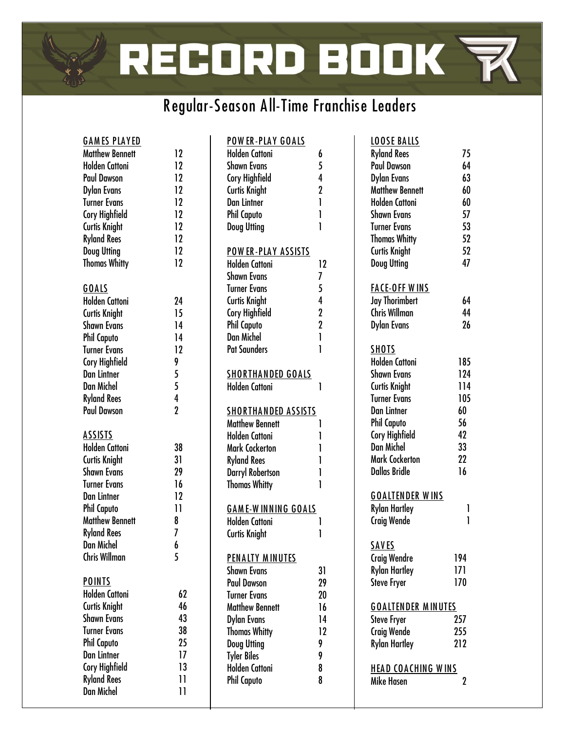# RECORD BOOK **R**

# **R egular-Season A ll-Time Franchise Leaders**

| <b>GAMES PLAYED</b>    |                | <b>POWER-PLAY GOALS</b>    |                |
|------------------------|----------------|----------------------------|----------------|
| <b>Matthew Bennett</b> | 12             | <b>Holden Cattoni</b>      | 6              |
| <b>Holden Cattoni</b>  | 12             | <b>Shawn Evans</b>         | 5              |
| <b>Paul Dawson</b>     | 12             | <b>Cory Highfield</b>      | $\overline{4}$ |
| <b>Dylan Evans</b>     | 12             | <b>Curtis Knight</b>       | $\overline{2}$ |
| <b>Turner Evans</b>    | 12             | <b>Dan Lintner</b>         | 1              |
| Cory Highfield         | 12             | <b>Phil Caputo</b>         | 1              |
| <b>Curtis Knight</b>   | 12             | <b>Doug Utting</b>         | 1              |
| <b>Ryland Rees</b>     | 12             |                            |                |
| <b>Doug Utting</b>     | 12             | <b>POWER-PLAY ASSISTS</b>  |                |
| <b>Thomas Whitty</b>   | 12             | <b>Holden Cattoni</b>      | 12             |
|                        |                | <b>Shawn Evans</b>         | 7              |
| <b>GOALS</b>           |                | <b>Turner Evans</b>        | 5              |
| <b>Holden Cattoni</b>  | 24             | Curtis Knight              | $\overline{4}$ |
| <b>Curtis Knight</b>   | 15             | <b>Cory Highfield</b>      | $\overline{2}$ |
| <b>Shawn Evans</b>     | 14             | <b>Phil Caputo</b>         | $\overline{2}$ |
| <b>Phil Caputo</b>     | 14             | <b>Dan Michel</b>          | l              |
| <b>Turner Evans</b>    | 12             | <b>Pat Saunders</b>        | 1              |
| Cory Highfield         | 9              |                            |                |
| <b>Dan Lintner</b>     | 5              | <b>SHORTHANDED GOALS</b>   |                |
| <b>Dan Michel</b>      | 5              | <b>Holden Cattoni</b>      | 1              |
| <b>Ryland Rees</b>     | $\overline{4}$ |                            |                |
| <b>Paul Dawson</b>     | $\overline{2}$ | <b>SHORTHANDED ASSISTS</b> |                |
|                        |                | <b>Matthew Bennett</b>     | 1              |
| <b>ASSISTS</b>         |                | <b>Holden Cattoni</b>      | 1              |
| <b>Holden Cattoni</b>  | 38             | <b>Mark Cockerton</b>      | 1              |
| <b>Curtis Knight</b>   | 31             | <b>Ryland Rees</b>         | 1              |
| <b>Shawn Evans</b>     | 29             | <b>Darryl Robertson</b>    | 1              |
| <b>Turner Evans</b>    | 16             | <b>Thomas Whitty</b>       | 1              |
| <b>Dan Lintner</b>     | 12             |                            |                |
| <b>Phil Caputo</b>     | $\mathbf{1}$   | <b>GAME-WINNING GOALS</b>  |                |
| <b>Matthew Bennett</b> | 8              | <b>Holden Cattoni</b>      | 1              |
| <b>Ryland Rees</b>     | 7              | <b>Curtis Knight</b>       | l              |
| <b>Dan Michel</b>      | 6              |                            |                |
| <b>Chris Willman</b>   | 5              | <b>PENALTY MINUTES</b>     |                |
|                        |                | <b>Shawn Evans</b>         | 31             |
| <b>POINTS</b>          |                | <b>Paul Dawson</b>         | 29             |
| <b>Holden Cattoni</b>  | 62             | <b>Turner Evans</b>        | 20             |
| <b>Curtis Knight</b>   | 46             | <b>Matthew Bennett</b>     | 16             |
| <b>Shawn Evans</b>     | 43             | <b>Dylan Evans</b>         | 14             |
| <b>Turner Evans</b>    | 38             | <b>Thomas Whitty</b>       | 12             |
| <b>Phil Caputo</b>     | 25             | <b>Doug Utting</b>         | 9              |
| <b>Dan Lintner</b>     | 17             | <b>Tyler Biles</b>         | 9              |
| <b>Cory Highfield</b>  | 13             | <b>Holden Cattoni</b>      | 8              |
| <b>Ryland Rees</b>     | 11             | <b>Phil Caputo</b>         | 8              |
| <b>Dan Michel</b>      | 11             |                            |                |
|                        |                |                            |                |

| <b>LOOSE BALLS</b>        |     |
|---------------------------|-----|
| <b>Ryland Rees</b>        | 75  |
| Paul Dawson               | 64  |
| <b>Dylan Evans</b>        | 63  |
| <b>Matthew Bennett</b>    | 60  |
| <b>Holden Cattoni</b>     | 60  |
| <b>Shawn Evans</b>        | 57  |
| <b>Turner Evans</b>       | 53  |
| <b>Thomas Whitty</b>      | 52  |
| <b>Curtis Knight</b>      | 52  |
| <b>Doug Utting</b>        | 47  |
|                           |     |
| <b>FACE-OFF WINS</b>      |     |
| <b>Jay Thorimbert</b>     | 64  |
| <b>Chris Willman</b>      | 44  |
| <b>Dylan Evans</b>        | 26  |
|                           |     |
| <b>SHOTS</b>              |     |
| <b>Holden Cattoni</b>     | 185 |
|                           |     |
| <b>Shawn Evans</b>        | 124 |
| Curtis Knight             | 114 |
| <b>Turner Evans</b>       | 105 |
| <b>Dan Lintner</b>        | 60  |
| <b>Phil Caputo</b>        | 56  |
| <b>Cory Highfield</b>     | 42  |
| Dan Michel                | 33  |
| <b>Mark Cockerton</b>     | 22  |
| <b>Dallas Bridle</b>      | 16  |
|                           |     |
| <u>GOALTENDER WINS</u>    |     |
| <b>Rylan Hartley</b>      | 1   |
| <b>Craig Wende</b>        | 1   |
|                           |     |
| <b>SAVES</b>              |     |
| <b>Craig Wendre</b>       | 194 |
| <b>Rylan Hartley</b>      | 171 |
| <b>Steve Fryer</b>        | 170 |
|                           |     |
| <b>GOALTENDER MINUTES</b> |     |
| <b>Steve Fryer</b>        | 257 |
| <b>Craig Wende</b>        | 255 |
| <b>Rylan Hartley</b>      | 212 |
|                           |     |
| <b>HEAD COACHING WINS</b> |     |
| Mike Hasen                | 2   |
|                           |     |
|                           |     |